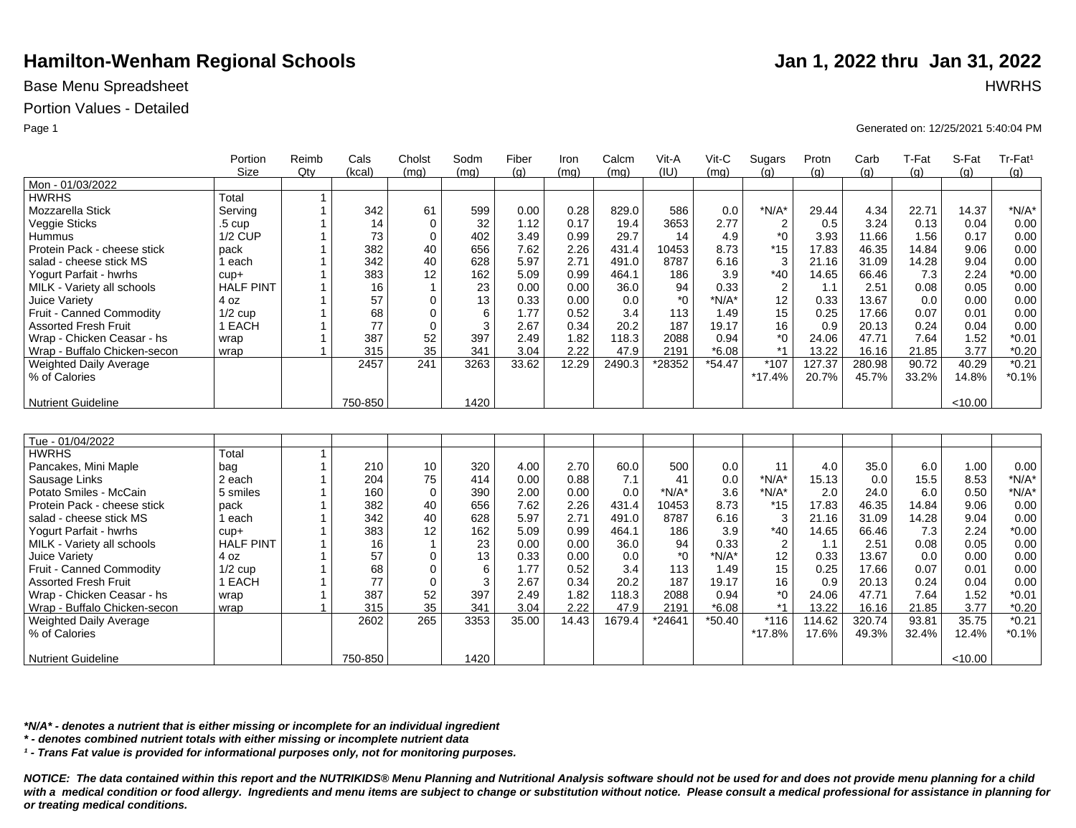## Base Menu Spreadsheet **HWRHS**

## Portion Values - Detailed

|                              | Portion           | Reimb        | Cals    | Cholst       | Sodm | Fiber | Iron  | Calcm  | Vit-A   | Vit-C    | Sugars           | Protn  | Carb   | T-Fat | S-Fat   | Tr-Fat <sup>1</sup> |
|------------------------------|-------------------|--------------|---------|--------------|------|-------|-------|--------|---------|----------|------------------|--------|--------|-------|---------|---------------------|
|                              | <b>Size</b>       | Qtv          | (kcal)  | (mq)         | (mq) | (q)   | (mq)  | (mq)   | (IU)    | (mq)     | (q)              | (q)    | (q)    | (q)   | (q)     | (g)                 |
| Mon - 01/03/2022             |                   |              |         |              |      |       |       |        |         |          |                  |        |        |       |         |                     |
| <b>HWRHS</b>                 | Total             | 1            |         |              |      |       |       |        |         |          |                  |        |        |       |         |                     |
| Mozzarella Stick             | Servina           | $\mathbf{1}$ | 342     | 61           | 599  | 0.00  | 0.28  | 829.0  | 586     | 0.0      | $*N/A*$          | 29.44  | 4.34   | 22.71 | 14.37   | $*N/A*$             |
| Veggie Sticks                | .5 <sub>cup</sub> |              | 14      | $\mathbf 0$  | 32   | 1.12  | 0.17  | 19.4   | 3653    | 2.77     | $\overline{2}$   | 0.5    | 3.24   | 0.13  | 0.04    | 0.00                |
| Hummus                       | <b>1/2 CUP</b>    |              | 73      | $\mathbf 0$  | 402  | 3.49  | 0.99  | 29.7   | 14      | 4.9      | $*_{0}$          | 3.93   | 11.66  | 1.56  | 0.17    | 0.00                |
| Protein Pack - cheese stick  | pack              |              | 382     | 40           | 656  | 7.62  | 2.26  | 431.4  | 10453   | 8.73     | $*15$            | 17.83  | 46.35  | 14.84 | 9.06    | 0.00                |
| salad - cheese stick MS      | 1 each            |              | 342     | 40           | 628  | 5.97  | 2.71  | 491.0  | 8787    | 6.16     | 3                | 21.16  | 31.09  | 14.28 | 9.04    | 0.00                |
| Yogurt Parfait - hwrhs       | $cup +$           |              | 383     | 12           | 162  | 5.09  | 0.99  | 464.1  | 186     | 3.9      | $*40$            | 14.65  | 66.46  | 7.3   | 2.24    | $*0.00$             |
| MILK - Variety all schools   | <b>HALF PINT</b>  |              | 16      | $\mathbf 1$  | 23   | 0.00  | 0.00  | 36.0   | 94      | 0.33     | $\boldsymbol{2}$ | 1.1    | 2.51   | 0.08  | 0.05    | 0.00                |
| Juice Variety                | 4 oz              |              | 57      | $\Omega$     | 13   | 0.33  | 0.00  | 0.0    | $*_{0}$ | $*N/A*$  | 12               | 0.33   | 13.67  | 0.0   | 0.00    | 0.00                |
| Fruit - Canned Commodity     | $1/2$ cup         |              | 68      | $\Omega$     | 6    | 1.77  | 0.52  | 3.4    | 113     | 1.49     | 15               | 0.25   | 17.66  | 0.07  | 0.01    | 0.00                |
| <b>Assorted Fresh Fruit</b>  | 1 EACH            |              | 77      | $\mathbf 0$  | 3    | 2.67  | 0.34  | 20.2   | 187     | 19.17    | 16               | 0.9    | 20.13  | 0.24  | 0.04    | 0.00                |
| Wrap - Chicken Ceasar - hs   | wrap              |              | 387     | 52           | 397  | 2.49  | 1.82  | 118.3  | 2088    | 0.94     | $^*0$            | 24.06  | 47.71  | 7.64  | 1.52    | $*0.01$             |
| Wrap - Buffalo Chicken-secon | wrap              |              | 315     | 35           | 341  | 3.04  | 2.22  | 47.9   | 2191    | $*6.08$  | $*1$             | 13.22  | 16.16  | 21.85 | 3.77    | $*0.20$             |
| Weighted Daily Average       |                   |              | 2457    | 241          | 3263 | 33.62 | 12.29 | 2490.3 | *28352  | $*54.47$ | *107             | 127.37 | 280.98 | 90.72 | 40.29   | $*0.21$             |
| % of Calories                |                   |              |         |              |      |       |       |        |         |          | $*17.4%$         | 20.7%  | 45.7%  | 33.2% | 14.8%   | $*0.1%$             |
|                              |                   |              |         |              |      |       |       |        |         |          |                  |        |        |       |         |                     |
| <b>Nutrient Guideline</b>    |                   |              | 750-850 |              | 1420 |       |       |        |         |          |                  |        |        |       | < 10.00 |                     |
|                              |                   |              |         |              |      |       |       |        |         |          |                  |        |        |       |         |                     |
|                              |                   |              |         |              |      |       |       |        |         |          |                  |        |        |       |         |                     |
| Tue - 01/04/2022             |                   |              |         |              |      |       |       |        |         |          |                  |        |        |       |         |                     |
| <b>HWRHS</b>                 | Total             | $\mathbf{1}$ |         |              |      |       |       |        |         |          |                  |        |        |       |         |                     |
| Pancakes, Mini Maple         | bag               | $\mathbf{1}$ | 210     | 10           | 320  | 4.00  | 2.70  | 60.0   | 500     | 0.0      | 11               | 4.0    | 35.0   | 6.0   | 1.00    | 0.00                |
| Sausage Links                | 2 each            |              | 204     | 75           | 414  | 0.00  | 0.88  | 7.1    | 41      | 0.0      | $*N/A*$          | 15.13  | 0.0    | 15.5  | 8.53    | $*N/A*$             |
| Potato Smiles - McCain       | 5 smiles          |              | 160     | $\mathbf 0$  | 390  | 2.00  | 0.00  | 0.0    | $*N/A*$ | 3.6      | $*N/A*$          | 2.0    | 24.0   | 6.0   | 0.50    | $*N/A*$             |
| Protein Pack - cheese stick  | pack              |              | 382     | 40           | 656  | 7.62  | 2.26  | 431.4  | 10453   | 8.73     | $*15$            | 17.83  | 46.35  | 14.84 | 9.06    | 0.00                |
| salad - cheese stick MS      | 1 each            |              | 342     | 40           | 628  | 5.97  | 2.71  | 491.0  | 8787    | 6.16     | 3                | 21.16  | 31.09  | 14.28 | 9.04    | 0.00                |
| Yogurt Parfait - hwrhs       | $cup +$           |              | 383     | 12           | 162  | 5.09  | 0.99  | 464.1  | 186     | 3.9      | $*40$            | 14.65  | 66.46  | 7.3   | 2.24    | $*0.00$             |
| MILK - Variety all schools   | <b>HALF PINT</b>  |              | 16      | $\mathbf{1}$ | 23   | 0.00  | 0.00  | 36.0   | 94      | 0.33     | $\overline{2}$   | 1.1    | 2.51   | 0.08  | 0.05    | 0.00                |
| Juice Variety                | 4 oz              |              | 57      | $\mathbf 0$  | 13   | 0.33  | 0.00  | 0.0    | $*_{0}$ | $*N/A*$  | 12               | 0.33   | 13.67  | 0.0   | 0.00    | 0.00                |
| Fruit - Canned Commodity     | $1/2$ cup         |              | 68      | $\mathbf 0$  | 6    | 1.77  | 0.52  | 3.4    | 113     | 1.49     | 15               | 0.25   | 17.66  | 0.07  | 0.01    | 0.00                |
| <b>Assorted Fresh Fruit</b>  | 1 EACH            |              | 77      | $\Omega$     | 3    | 2.67  | 0.34  | 20.2   | 187     | 19.17    | 16               | 0.9    | 20.13  | 0.24  | 0.04    | 0.00                |
| Wrap - Chicken Ceasar - hs   | wrap              |              | 387     | 52           | 397  | 2.49  | 1.82  | 118.3  | 2088    | 0.94     | $^*0$            | 24.06  | 47.71  | 7.64  | 1.52    | $*0.01$             |
| Wrap - Buffalo Chicken-secon | wrap              |              | 315     | 35           | 341  | 3.04  | 2.22  | 47.9   | 2191    | $*6.08$  | $*1$             | 13.22  | 16.16  | 21.85 | 3.77    | $*0.20$             |
| Weighted Daily Average       |                   |              | 2602    | 265          | 3353 | 35.00 | 14.43 | 1679.4 | *24641  | $*50.40$ | $*116$           | 114.62 | 320.74 | 93.81 | 35.75   | $*0.21$             |
| % of Calories                |                   |              |         |              |      |       |       |        |         |          | *17.8%           | 17.6%  | 49.3%  | 32.4% | 12.4%   | $*0.1%$             |
|                              |                   |              |         |              |      |       |       |        |         |          |                  |        |        |       |         |                     |
| <b>Nutrient Guideline</b>    |                   |              | 750-850 |              | 1420 |       |       |        |         |          |                  |        |        |       | < 10.00 |                     |

*\*N/A\* - denotes a nutrient that is either missing or incomplete for an individual ingredient*

*\* - denotes combined nutrient totals with either missing or incomplete nutrient data*

*¹ - Trans Fat value is provided for informational purposes only, not for monitoring purposes.*

*NOTICE: The data contained within this report and the NUTRIKIDS® Menu Planning and Nutritional Analysis software should not be used for and does not provide menu planning for a child*  with a medical condition or food allergy. Ingredients and menu items are subject to change or substitution without notice. Please consult a medical professional for assistance in planning for *or treating medical conditions.*

Page 1 Generated on: 12/25/2021 5:40:04 PM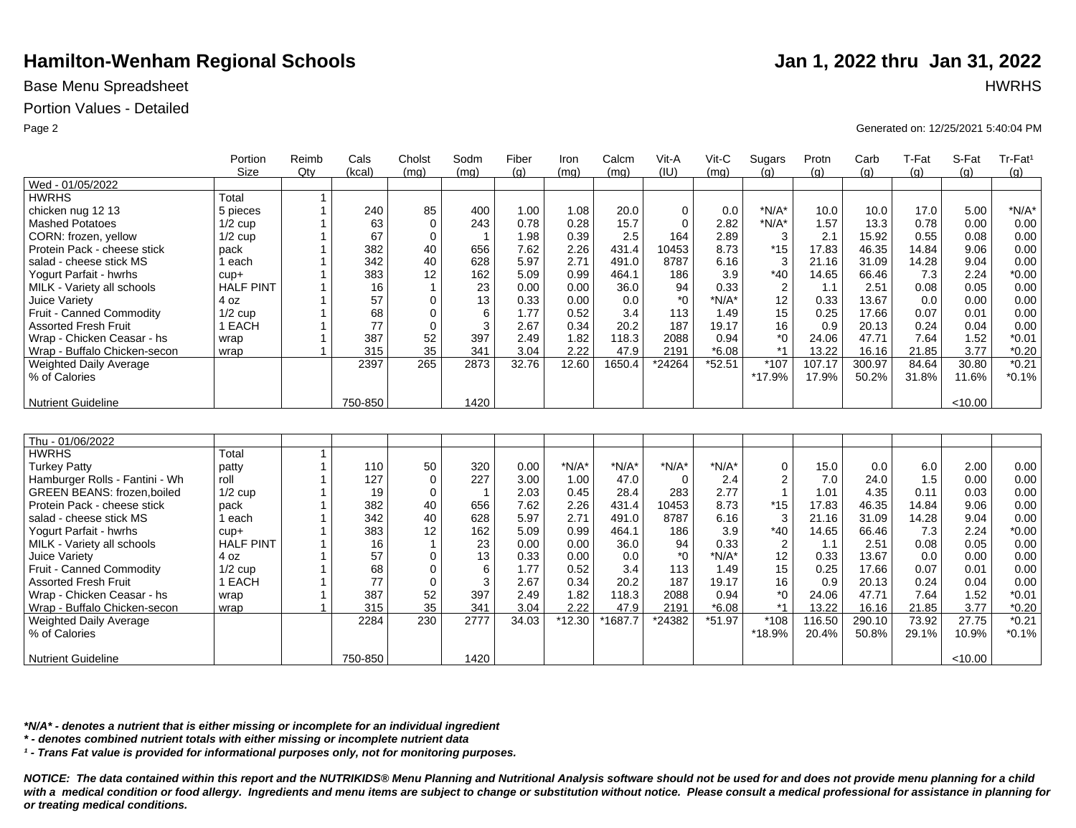## Base Menu Spreadsheet **HWRHS**

## Portion Values - Detailed

|                                   | Portion          | Reimb          | Cals    | Cholst         | Sodm           | Fiber | Iron    | Calcm   | Vit-A       | Vit-C    | Sugars                  | Protn  | Carb   | T-Fat | S-Fat   | Tr-Fat <sup>1</sup> |
|-----------------------------------|------------------|----------------|---------|----------------|----------------|-------|---------|---------|-------------|----------|-------------------------|--------|--------|-------|---------|---------------------|
|                                   | <b>Size</b>      | Qty            | (kcal)  | (mq)           | (mq)           | (q)   | (mq)    | (mq)    | (IU)        | (mq)     | (q)                     | (q)    | (q)    | (q)   | (a)     | (g)                 |
| Wed - 01/05/2022                  |                  |                |         |                |                |       |         |         |             |          |                         |        |        |       |         |                     |
| <b>HWRHS</b>                      | Total            | $\mathbf{1}$   |         |                |                |       |         |         |             |          |                         |        |        |       |         |                     |
| chicken nug 12 13                 | 5 pieces         | $\mathbf{1}$   | 240     | 85             | 400            | 1.00  | 1.08    | 20.0    | $\mathbf 0$ | 0.0      | $*N/A*$                 | 10.0   | 10.0   | 17.0  | 5.00    | $*N/A*$             |
| <b>Mashed Potatoes</b>            | $1/2$ cup        |                | 63      | $\Omega$       | 243            | 0.78  | 0.28    | 15.7    | $\Omega$    | 2.82     | $*N/A*$                 | 1.57   | 13.3   | 0.78  | 0.00    | 0.00                |
| CORN: frozen, yellow              | $1/2$ cup        |                | 67      | $\mathbf 0$    | $\overline{1}$ | 1.98  | 0.39    | 2.5     | 164         | 2.89     | 3                       | 2.1    | 15.92  | 0.55  | 0.08    | 0.00                |
| Protein Pack - cheese stick       | pack             |                | 382     | 40             | 656            | 7.62  | 2.26    | 431.4   | 10453       | 8.73     | $*15$                   | 17.83  | 46.35  | 14.84 | 9.06    | 0.00                |
| salad - cheese stick MS           | 1 each           |                | 342     | 40             | 628            | 5.97  | 2.71    | 491.0   | 8787        | 6.16     | 3                       | 21.16  | 31.09  | 14.28 | 9.04    | 0.00                |
| Yogurt Parfait - hwrhs            | $cup +$          |                | 383     | 12             | 162            | 5.09  | 0.99    | 464.1   | 186         | 3.9      | $*40$                   | 14.65  | 66.46  | 7.3   | 2.24    | $*0.00$             |
| MILK - Variety all schools        | <b>HALF PINT</b> |                | 16      | $\overline{1}$ | 23             | 0.00  | 0.00    | 36.0    | 94          | 0.33     | $\overline{2}$          | 1.1    | 2.51   | 0.08  | 0.05    | 0.00                |
| Juice Variety                     | 4 oz             |                | 57      | $\Omega$       | 13             | 0.33  | 0.00    | 0.0     | *0          | $*N/A*$  | 12                      | 0.33   | 13.67  | 0.0   | 0.00    | 0.00                |
| Fruit - Canned Commodity          | $1/2$ cup        |                | 68      | $\mathbf 0$    | 6              | 1.77  | 0.52    | 3.4     | 113         | 1.49     | 15                      | 0.25   | 17.66  | 0.07  | 0.01    | 0.00                |
| <b>Assorted Fresh Fruit</b>       | 1 EACH           |                | 77      | $\mathbf 0$    | 3              | 2.67  | 0.34    | 20.2    | 187         | 19.17    | 16                      | 0.9    | 20.13  | 0.24  | 0.04    | 0.00                |
| Wrap - Chicken Ceasar - hs        | wrap             |                | 387     | 52             | 397            | 2.49  | 1.82    | 118.3   | 2088        | 0.94     | $*_{0}$                 | 24.06  | 47.71  | 7.64  | 1.52    | $*0.01$             |
| Wrap - Buffalo Chicken-secon      | wrap             |                | 315     | 35             | 341            | 3.04  | 2.22    | 47.9    | 2191        | $*6.08$  | $*1$                    | 13.22  | 16.16  | 21.85 | 3.77    | $*0.20$             |
| Weighted Daily Average            |                  |                | 2397    | 265            | 2873           | 32.76 | 12.60   | 1650.4  | *24264      | $*52.51$ | *107                    | 107.17 | 300.97 | 84.64 | 30.80   | $*0.21$             |
| % of Calories                     |                  |                |         |                |                |       |         |         |             |          | *17.9%                  | 17.9%  | 50.2%  | 31.8% | 11.6%   | $*0.1%$             |
|                                   |                  |                |         |                |                |       |         |         |             |          |                         |        |        |       |         |                     |
| <b>Nutrient Guideline</b>         |                  |                | 750-850 |                | 1420           |       |         |         |             |          |                         |        |        |       | < 10.00 |                     |
|                                   |                  |                |         |                |                |       |         |         |             |          |                         |        |        |       |         |                     |
|                                   |                  |                |         |                |                |       |         |         |             |          |                         |        |        |       |         |                     |
| Thu - 01/06/2022                  |                  |                |         |                |                |       |         |         |             |          |                         |        |        |       |         |                     |
| <b>HWRHS</b>                      | Total            | $\mathbf{1}$   |         |                |                |       |         |         |             |          |                         |        |        |       |         |                     |
| <b>Turkey Patty</b>               | patty            | $\mathbf{1}$   | 110     | 50             | 320            | 0.00  | $*N/A*$ | $*N/A*$ | $*N/A*$     | $*N/A*$  | 0                       | 15.0   | 0.0    | 6.0   | 2.00    | 0.00                |
| Hamburger Rolls - Fantini - Wh    | roll             | $\overline{1}$ | 127     | $\mathbf 0$    | 227            | 3.00  | 1.00    | 47.0    | $\mathbf 0$ | 2.4      | $\overline{\mathbf{c}}$ | 7.0    | 24.0   | 1.5   | 0.00    | 0.00                |
| <b>GREEN BEANS: frozen,boiled</b> | $1/2$ cup        |                | 19      | $\mathbf 0$    | $\mathbf{1}$   | 2.03  | 0.45    | 28.4    | 283         | 2.77     | $\overline{1}$          | 1.01   | 4.35   | 0.11  | 0.03    | 0.00                |
| Protein Pack - cheese stick       | pack             |                | 382     | 40             | 656            | 7.62  | 2.26    | 431.4   | 10453       | 8.73     | $*15$                   | 17.83  | 46.35  | 14.84 | 9.06    | 0.00                |
| salad - cheese stick MS           | 1 each           |                | 342     | 40             | 628            | 5.97  | 2.71    | 491.0   | 8787        | 6.16     | 3                       | 21.16  | 31.09  | 14.28 | 9.04    | 0.00                |
| Yogurt Parfait - hwrhs            | $cup +$          |                | 383     | 12             | 162            | 5.09  | 0.99    | 464.1   | 186         | 3.9      | $*40$                   | 14.65  | 66.46  | 7.3   | 2.24    | $*0.00$             |
| MILK - Variety all schools        | <b>HALF PINT</b> |                | 16      | $\overline{1}$ | 23             | 0.00  | 0.00    | 36.0    | 94          | 0.33     | $\overline{2}$          | 1.1    | 2.51   | 0.08  | 0.05    | 0.00                |
| Juice Variety                     | 4 oz             | $\mathbf 1$    | 57      | $\mathbf 0$    | 13             | 0.33  | 0.00    | 0.0     | $^*0$       | $*N/A*$  | 12                      | 0.33   | 13.67  | 0.0   | 0.00    | 0.00                |
| Fruit - Canned Commodity          | $1/2$ cup        |                | 68      | $\mathbf 0$    | 6              | 1.77  | 0.52    | 3.4     | 113         | 1.49     | 15                      | 0.25   | 17.66  | 0.07  | 0.01    | 0.00                |
| <b>Assorted Fresh Fruit</b>       | 1 EACH           | $\mathbf{1}$   | 77      | $\mathbf 0$    | 3              | 2.67  | 0.34    | 20.2    | 187         | 19.17    | 16                      | 0.9    | 20.13  | 0.24  | 0.04    | 0.00                |
| Wrap - Chicken Ceasar - hs        | wrap             | $\mathbf{1}$   | 387     | 52             | 397            | 2.49  | 1.82    | 118.3   | 2088        | 0.94     | $^*0$                   | 24.06  | 47.71  | 7.64  | 1.52    | $*0.01$             |
| Wrap - Buffalo Chicken-secon      | wrap             | $\overline{1}$ | 315     | 35             | 341            | 3.04  | 2.22    | 47.9    | 2191        | $*6.08$  | $*1$                    | 13.22  | 16.16  | 21.85 | 3.77    | $*0.20$             |
| Weighted Daily Average            |                  |                | 2284    | 230            | 2777           | 34.03 | *12.30  | *1687.7 | *24382      | $*51.97$ | *108                    | 116.50 | 290.10 | 73.92 | 27.75   | $*0.21$             |
| % of Calories                     |                  |                |         |                |                |       |         |         |             |          | *18.9%                  | 20.4%  | 50.8%  | 29.1% | 10.9%   | $*0.1%$             |
|                                   |                  |                |         |                |                |       |         |         |             |          |                         |        |        |       |         |                     |
| <b>Nutrient Guideline</b>         |                  |                | 750-850 |                | 1420           |       |         |         |             |          |                         |        |        |       | < 10.00 |                     |

*\*N/A\* - denotes a nutrient that is either missing or incomplete for an individual ingredient*

*\* - denotes combined nutrient totals with either missing or incomplete nutrient data*

*¹ - Trans Fat value is provided for informational purposes only, not for monitoring purposes.*

*NOTICE: The data contained within this report and the NUTRIKIDS® Menu Planning and Nutritional Analysis software should not be used for and does not provide menu planning for a child*  with a medical condition or food allergy. Ingredients and menu items are subject to change or substitution without notice. Please consult a medical professional for assistance in planning for *or treating medical conditions.*

Page 2 Generated on: 12/25/2021 5:40:04 PM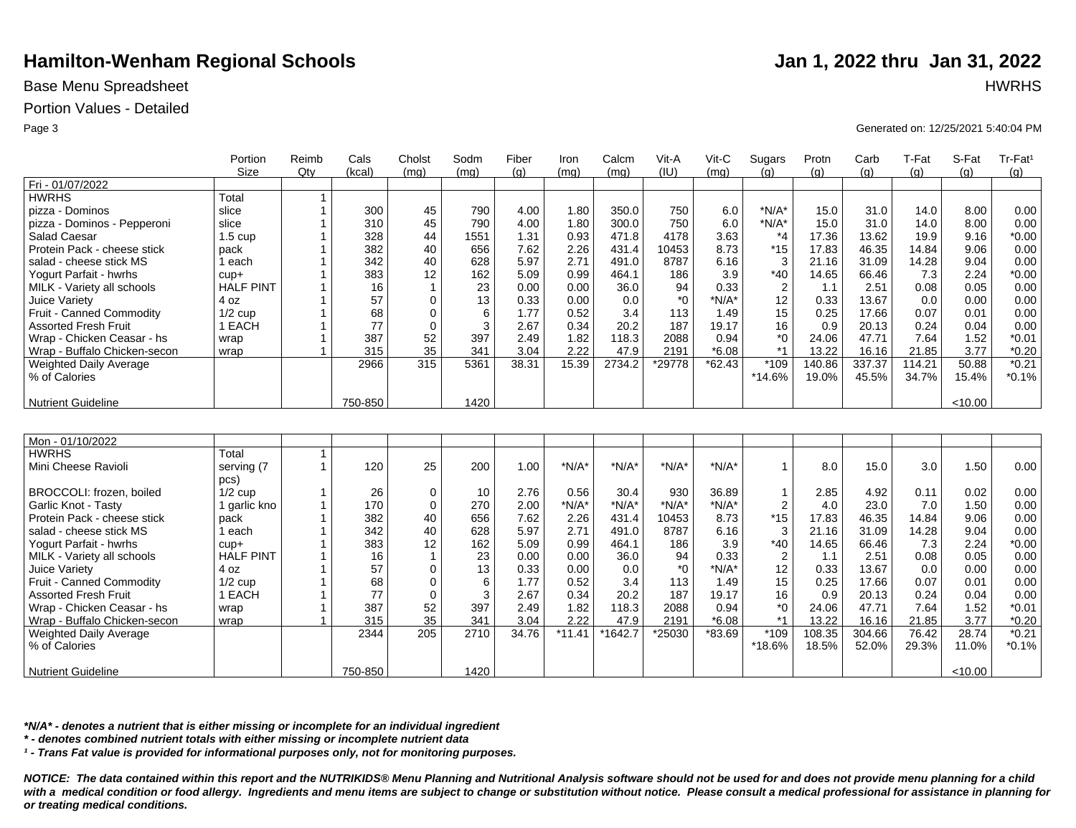## Base Menu Spreadsheet **HWRHS**

### Portion Values - Detailed

|                              | Portion           | Reimb          | Cals    | Cholst       | Sodm | Fiber | Iron     | Calcm   | Vit-A        | Vit-C    | Sugars                  | Protn  | Carb   | T-Fat  | S-Fat   | Tr-Fat <sup>1</sup> |
|------------------------------|-------------------|----------------|---------|--------------|------|-------|----------|---------|--------------|----------|-------------------------|--------|--------|--------|---------|---------------------|
|                              | <b>Size</b>       | $Q$ ty         | (kcal)  | (mq)         | (mq) | (g)   | (mq)     | (ma)    | (IU)         | (mg)     | (q)                     | (g)    | (g)    | (q)    | (q)     | (g)                 |
| Fri - 01/07/2022             |                   |                |         |              |      |       |          |         |              |          |                         |        |        |        |         |                     |
| <b>HWRHS</b>                 | Total             | 1              |         |              |      |       |          |         |              |          |                         |        |        |        |         |                     |
| pizza - Dominos              | slice             | $\mathbf 1$    | 300     | 45           | 790  | 4.00  | 1.80     | 350.0   | 750          | 6.0      | $*N/A*$                 | 15.0   | 31.0   | 14.0   | 8.00    | 0.00                |
| pizza - Dominos - Pepperoni  | slice             | 1              | 310     | 45           | 790  | 4.00  | 1.80     | 300.0   | 750          | 6.0      | $N/A^*$                 | 15.0   | 31.0   | 14.0   | 8.00    | 0.00                |
| <b>Salad Caesar</b>          | $1.5 \text{ cup}$ | 1              | 328     | 44           | 1551 | 1.31  | 0.93     | 471.8   | 4178         | 3.63     | $*_{4}$                 | 17.36  | 13.62  | 19.9   | 9.16    | $*0.00$             |
| Protein Pack - cheese stick  | pack              |                | 382     | 40           | 656  | 7.62  | 2.26     | 431.4   | 10453        | 8.73     | $*15$                   | 17.83  | 46.35  | 14.84  | 9.06    | 0.00                |
| salad - cheese stick MS      | 1 each            |                | 342     | 40           | 628  | 5.97  | 2.71     | 491.0   | 8787         | 6.16     | 3                       | 21.16  | 31.09  | 14.28  | 9.04    | 0.00                |
| Yogurt Parfait - hwrhs       | $cup +$           |                | 383     | 12           | 162  | 5.09  | 0.99     | 464.1   | 186          | 3.9      | $*40$                   | 14.65  | 66.46  | 7.3    | 2.24    | $*0.00$             |
| MILK - Variety all schools   | <b>HALF PINT</b>  |                | 16      | $\mathbf{1}$ | 23   | 0.00  | 0.00     | 36.0    | 94           | 0.33     | $\boldsymbol{2}$        | 1.1    | 2.51   | 0.08   | 0.05    | 0.00                |
| Juice Variety                | 4 oz              | 1              | 57      | $\mathbf 0$  | 13   | 0.33  | 0.00     | 0.0     | $*_{0}$      | $*N/A*$  | 12                      | 0.33   | 13.67  | 0.0    | 0.00    | 0.00                |
| Fruit - Canned Commodity     | $1/2$ cup         | 1              | 68      | $\mathbf 0$  | 6    | 1.77  | 0.52     | 3.4     | 113          | 1.49     | 15                      | 0.25   | 17.66  | 0.07   | 0.01    | 0.00                |
| <b>Assorted Fresh Fruit</b>  | 1 EACH            | 1              | 77      | $\mathbf 0$  | 3    | 2.67  | 0.34     | 20.2    | 187          | 19.17    | 16                      | 0.9    | 20.13  | 0.24   | 0.04    | 0.00                |
| Wrap - Chicken Ceasar - hs   | wrap              | 1              | 387     | 52           | 397  | 2.49  | 1.82     | 118.3   | 2088         | 0.94     | $^*0$                   | 24.06  | 47.71  | 7.64   | 1.52    | $*0.01$             |
| Wrap - Buffalo Chicken-secon | wrap              | $\overline{1}$ | 315     | 35           | 341  | 3.04  | 2.22     | 47.9    | 2191         | $*6.08$  | $*1$                    | 13.22  | 16.16  | 21.85  | 3.77    | $*0.20$             |
| Weighted Daily Average       |                   |                | 2966    | 315          | 5361 | 38.31 | 15.39    | 2734.2  | *29778       | $*62.43$ | *109                    | 140.86 | 337.37 | 114.21 | 50.88   | $*0.21$             |
| % of Calories                |                   |                |         |              |      |       |          |         |              |          | *14.6%                  | 19.0%  | 45.5%  | 34.7%  | 15.4%   | $*0.1%$             |
|                              |                   |                |         |              |      |       |          |         |              |          |                         |        |        |        |         |                     |
| <b>Nutrient Guideline</b>    |                   |                | 750-850 |              | 1420 |       |          |         |              |          |                         |        |        |        | < 10.00 |                     |
|                              |                   |                |         |              |      |       |          |         |              |          |                         |        |        |        |         |                     |
|                              |                   |                |         |              |      |       |          |         |              |          |                         |        |        |        |         |                     |
| Mon - 01/10/2022             |                   |                |         |              |      |       |          |         |              |          |                         |        |        |        |         |                     |
| <b>HWRHS</b>                 | Total             | 1              |         |              |      |       |          |         |              |          |                         |        |        |        |         |                     |
| Mini Cheese Ravioli          | serving (7        | 1              | 120     | 25           | 200  | 1.00  | $*N/A*$  | $*N/A*$ | $*N/A*$      | $*N/A*$  | $\mathbf{1}$            | 8.0    | 15.0   | 3.0    | 1.50    | 0.00                |
|                              | pcs)              |                |         |              |      |       |          |         |              |          |                         |        |        |        |         |                     |
| BROCCOLI: frozen, boiled     | $1/2$ cup         | 1              | 26      | 0            | 10   | 2.76  | 0.56     | 30.4    | 930          | 36.89    | $\overline{\mathbf{1}}$ | 2.85   | 4.92   | 0.11   | 0.02    | 0.00                |
| Garlic Knot - Tasty          | I garlic kno      | 1              | 170     | $\mathbf 0$  | 270  | 2.00  | $*N/A*$  | $*N/A*$ | $*N/A*$      | $*N/A*$  | $\overline{\mathbf{c}}$ | 4.0    | 23.0   | 7.0    | 1.50    | 0.00                |
| Protein Pack - cheese stick  | pack              | 1              | 382     | 40           | 656  | 7.62  | 2.26     | 431.4   | 10453        | 8.73     | $*15$                   | 17.83  | 46.35  | 14.84  | 9.06    | 0.00                |
| salad - cheese stick MS      | 1 each            |                | 342     | 40           | 628  | 5.97  | 2.71     | 491.0   | 8787         | 6.16     | 3                       | 21.16  | 31.09  | 14.28  | 9.04    | 0.00                |
| Yogurt Parfait - hwrhs       | $cup +$           | 1              | 383     | 12           | 162  | 5.09  | 0.99     | 464.1   | 186          | 3.9      | $*40$                   | 14.65  | 66.46  | 7.3    | 2.24    | $*0.00$             |
| MILK - Variety all schools   | <b>HALF PINT</b>  | 1              | 16      | $\mathbf{1}$ | 23   | 0.00  | 0.00     | 36.0    | 94           | 0.33     | 2                       | 1.1    | 2.51   | 0.08   | 0.05    | 0.00                |
| Juice Variety                | 4 oz              | 1              | 57      | $\mathbf 0$  | 13   | 0.33  | 0.00     | 0.0     | $*$ $\Omega$ | $*N/A*$  | 12                      | 0.33   | 13.67  | 0.0    | 0.00    | 0.00                |
| Fruit - Canned Commodity     | $1/2$ cup         | 1              | 68      | 0            | 6    | 1.77  | 0.52     | 3.4     | 113          | 1.49     | 15                      | 0.25   | 17.66  | 0.07   | 0.01    | 0.00                |
| <b>Assorted Fresh Fruit</b>  | 1 EACH            | 1              | 77      | $\mathbf 0$  | 3    | 2.67  | 0.34     | 20.2    | 187          | 19.17    | 16                      | 0.9    | 20.13  | 0.24   | 0.04    | 0.00                |
| Wrap - Chicken Ceasar - hs   | wrap              | 1              | 387     | 52           | 397  | 2.49  | 1.82     | 118.3   | 2088         | 0.94     | $^*0$                   | 24.06  | 47.71  | 7.64   | 1.52    | $*0.01$             |
| Wrap - Buffalo Chicken-secon | wrap              | $\mathbf 1$    | 315     | 35           | 341  | 3.04  | 2.22     | 47.9    | 2191         | $*6.08$  | $*1$                    | 13.22  | 16.16  | 21.85  | 3.77    | $*0.20$             |
| Weighted Daily Average       |                   |                | 2344    | 205          | 2710 | 34.76 | $*11.41$ | *1642.7 | *25030       | *83.69   | *109                    | 108.35 | 304.66 | 76.42  | 28.74   | $*0.21$             |
| % of Calories                |                   |                |         |              |      |       |          |         |              |          | *18.6%                  | 18.5%  | 52.0%  | 29.3%  | 11.0%   | $*0.1%$             |
|                              |                   |                |         |              |      |       |          |         |              |          |                         |        |        |        |         |                     |
| <b>Nutrient Guideline</b>    |                   |                | 750-850 |              | 1420 |       |          |         |              |          |                         |        |        |        | < 10.00 |                     |

*\*N/A\* - denotes a nutrient that is either missing or incomplete for an individual ingredient*

*\* - denotes combined nutrient totals with either missing or incomplete nutrient data*

*¹ - Trans Fat value is provided for informational purposes only, not for monitoring purposes.*

*NOTICE: The data contained within this report and the NUTRIKIDS® Menu Planning and Nutritional Analysis software should not be used for and does not provide menu planning for a child*  with a medical condition or food allergy. Ingredients and menu items are subject to change or substitution without notice. Please consult a medical professional for assistance in planning for *or treating medical conditions.*

Page 3 Generated on: 12/25/2021 5:40:04 PM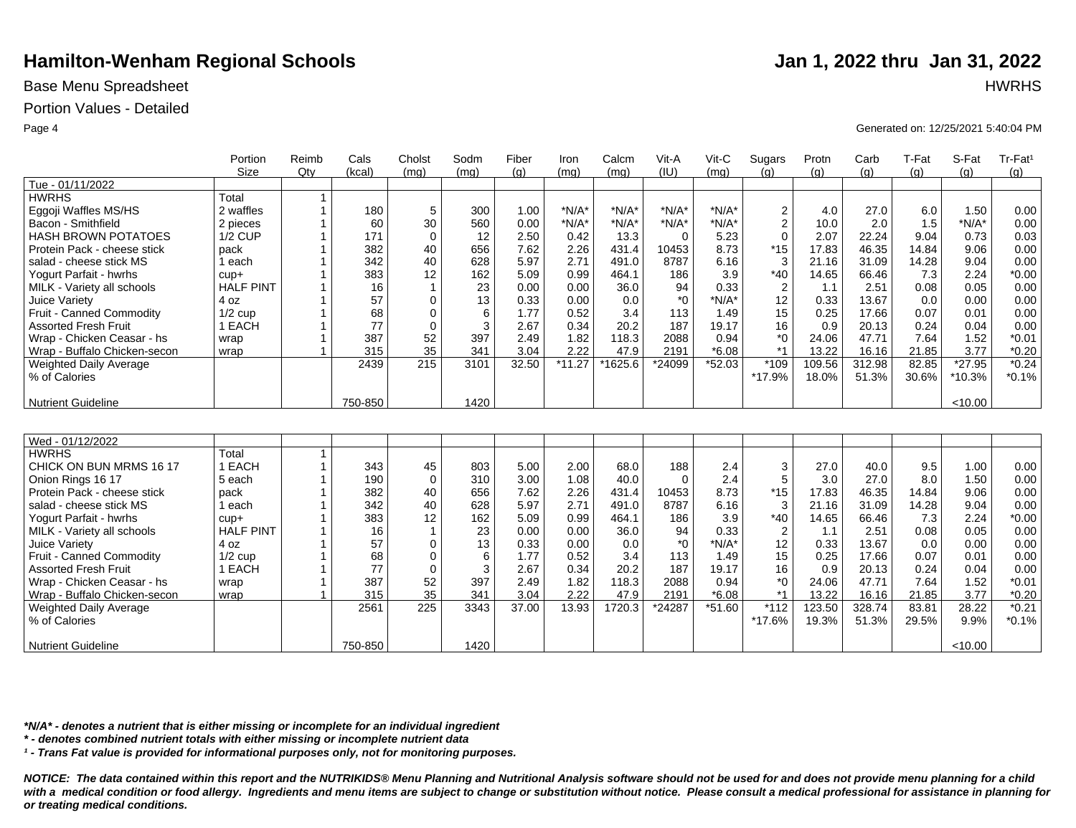## Base Menu Spreadsheet **HWRHS**

### Portion Values - Detailed

|                               | Portion          | Reimb        | Cals    | Cholst       | Sodm | Fiber | Iron     | Calcm   | Vit-A    | Vit-C    | Sugars           | Protn  | Carb   | T-Fat | S-Fat   | Tr-Fat <sup>1</sup> |
|-------------------------------|------------------|--------------|---------|--------------|------|-------|----------|---------|----------|----------|------------------|--------|--------|-------|---------|---------------------|
|                               | Size             | $Q$ ty       | (kcal)  | (mq)         | (mq) | (q)   | (mq)     | (mq)    | (IU)     | (mq)     | (a)              | (q)    | (q)    | (q)   | (q)     | (q)                 |
| Tue - 01/11/2022              |                  |              |         |              |      |       |          |         |          |          |                  |        |        |       |         |                     |
| <b>HWRHS</b>                  | Total            | 1            |         |              |      |       |          |         |          |          |                  |        |        |       |         |                     |
| Eggoji Waffles MS/HS          | 2 waffles        |              | 180     | 5            | 300  | 1.00  | $*N/A*$  | $*N/A*$ | $*N/A*$  | $*N/A*$  | $\boldsymbol{2}$ | 4.0    | 27.0   | 6.0   | 1.50    | 0.00                |
| Bacon - Smithfield            | 2 pieces         |              | 60      | 30           | 560  | 0.00  | $*N/A*$  | $*N/A*$ | $*N/A*$  | $*N/A*$  | $\overline{c}$   | 10.0   | 2.0    | 1.5   | $*N/A*$ | 0.00                |
| <b>HASH BROWN POTATOES</b>    | $1/2$ CUP        |              | 171     | $\Omega$     | 12   | 2.50  | 0.42     | 13.3    | $\Omega$ | 5.23     | $\Omega$         | 2.07   | 22.24  | 9.04  | 0.73    | 0.03                |
| Protein Pack - cheese stick   | pack             |              | 382     | 40           | 656  | 7.62  | 2.26     | 431.4   | 10453    | 8.73     | $*15$            | 17.83  | 46.35  | 14.84 | 9.06    | 0.00                |
| salad - cheese stick MS       | 1 each           |              | 342     | 40           | 628  | 5.97  | 2.71     | 491.0   | 8787     | 6.16     | 3                | 21.16  | 31.09  | 14.28 | 9.04    | 0.00                |
| Yogurt Parfait - hwrhs        | $cup +$          |              | 383     | 12           | 162  | 5.09  | 0.99     | 464.1   | 186      | 3.9      | $*40$            | 14.65  | 66.46  | 7.3   | 2.24    | $*0.00$             |
| MILK - Variety all schools    | <b>HALF PINT</b> |              | 16      | $\mathbf{1}$ | 23   | 0.00  | 0.00     | 36.0    | 94       | 0.33     | $\overline{2}$   | 1.1    | 2.51   | 0.08  | 0.05    | 0.00                |
| Juice Variety                 | 4 oz             |              | 57      | $\mathbf 0$  | 13   | 0.33  | 0.00     | 0.0     | $*_{0}$  | $*N/A*$  | 12               | 0.33   | 13.67  | 0.0   | 0.00    | 0.00                |
| Fruit - Canned Commodity      | $1/2$ cup        |              | 68      | $\mathbf 0$  | 6    | 1.77  | 0.52     | 3.4     | 113      | 1.49     | 15               | 0.25   | 17.66  | 0.07  | 0.01    | 0.00                |
| <b>Assorted Fresh Fruit</b>   | 1 EACH           |              | 77      | $\Omega$     | 3    | 2.67  | 0.34     | 20.2    | 187      | 19.17    | 16               | 0.9    | 20.13  | 0.24  | 0.04    | 0.00                |
| Wrap - Chicken Ceasar - hs    | wrap             |              | 387     | 52           | 397  | 2.49  | 1.82     | 118.3   | 2088     | 0.94     | $^*0$            | 24.06  | 47.71  | 7.64  | 1.52    | $*0.01$             |
| Wrap - Buffalo Chicken-secon  | wrap             |              | 315     | 35           | 341  | 3.04  | 2.22     | 47.9    | 2191     | $*6.08$  | $*1$             | 13.22  | 16.16  | 21.85 | 3.77    | $*0.20$             |
| Weighted Daily Average        |                  |              | 2439    | 215          | 3101 | 32.50 | $*11.27$ | *1625.6 | *24099   | *52.03   | *109             | 109.56 | 312.98 | 82.85 | *27.95  | $*0.24$             |
| % of Calories                 |                  |              |         |              |      |       |          |         |          |          | *17.9%           | 18.0%  | 51.3%  | 30.6% | *10.3%  | $*0.1%$             |
|                               |                  |              |         |              |      |       |          |         |          |          |                  |        |        |       |         |                     |
| <b>Nutrient Guideline</b>     |                  |              | 750-850 |              | 1420 |       |          |         |          |          |                  |        |        |       | < 10.00 |                     |
|                               |                  |              |         |              |      |       |          |         |          |          |                  |        |        |       |         |                     |
|                               |                  |              |         |              |      |       |          |         |          |          |                  |        |        |       |         |                     |
| Wed - 01/12/2022              |                  |              |         |              |      |       |          |         |          |          |                  |        |        |       |         |                     |
| <b>HWRHS</b>                  | Total            | $\mathbf{1}$ |         |              |      |       |          |         |          |          |                  |        |        |       |         |                     |
| CHICK ON BUN MRMS 16 17       | 1 EACH           |              | 343     | 45           | 803  | 5.00  | 2.00     | 68.0    | 188      | 2.4      | 3                | 27.0   | 40.0   | 9.5   | 1.00    | 0.00                |
| Onion Rings 16 17             | 5 each           |              | 190     | $\mathbf 0$  | 310  | 3.00  | 1.08     | 40.0    | $\Omega$ | 2.4      | 5                | 3.0    | 27.0   | 8.0   | 1.50    | 0.00                |
| Protein Pack - cheese stick   | pack             |              | 382     | 40           | 656  | 7.62  | 2.26     | 431.4   | 10453    | 8.73     | $*15$            | 17.83  | 46.35  | 14.84 | 9.06    | 0.00                |
| salad - cheese stick MS       | 1 each           |              | 342     | 40           | 628  | 5.97  | 2.71     | 491.0   | 8787     | 6.16     | 3                | 21.16  | 31.09  | 14.28 | 9.04    | 0.00                |
| Yogurt Parfait - hwrhs        | $cup +$          |              | 383     | 12           | 162  | 5.09  | 0.99     | 464.1   | 186      | 3.9      | $*40$            | 14.65  | 66.46  | 7.3   | 2.24    | $*0.00$             |
| MILK - Variety all schools    | <b>HALF PINT</b> |              | 16      | $\mathbf 1$  | 23   | 0.00  | 0.00     | 36.0    | 94       | 0.33     | $\overline{2}$   | 1.1    | 2.51   | 0.08  | 0.05    | 0.00                |
| Juice Variety                 | 4 oz             |              | 57      | $\mathbf 0$  | 13   | 0.33  | 0.00     | 0.0     | $*_{0}$  | $*N/A*$  | 12               | 0.33   | 13.67  | 0.0   | 0.00    | 0.00                |
| Fruit - Canned Commodity      | $1/2$ cup        |              | 68      | $\mathbf 0$  | 6    | 1.77  | 0.52     | 3.4     | 113      | 1.49     | 15               | 0.25   | 17.66  | 0.07  | 0.01    | 0.00                |
| <b>Assorted Fresh Fruit</b>   | 1 EACH           |              | 77      | $\mathbf 0$  | 3    | 2.67  | 0.34     | 20.2    | 187      | 19.17    | 16               | 0.9    | 20.13  | 0.24  | 0.04    | 0.00                |
| Wrap - Chicken Ceasar - hs    | wrap             |              | 387     | 52           | 397  | 2.49  | 1.82     | 118.3   | 2088     | 0.94     | $^*$ 0           | 24.06  | 47.71  | 7.64  | 1.52    | $*0.01$             |
| Wrap - Buffalo Chicken-secon  | wrap             |              | 315     | 35           | 341  | 3.04  | 2.22     | 47.9    | 2191     | $*6.08$  | $*1$             | 13.22  | 16.16  | 21.85 | 3.77    | $*0.20$             |
| <b>Weighted Daily Average</b> |                  |              | 2561    | 225          | 3343 | 37.00 | 13.93    | 1720.3  | *24287   | $*51.60$ | $*112$           | 123.50 | 328.74 | 83.81 | 28.22   | $*0.21$             |
| % of Calories                 |                  |              |         |              |      |       |          |         |          |          | *17.6%           | 19.3%  | 51.3%  | 29.5% | 9.9%    | $*0.1%$             |
|                               |                  |              |         |              |      |       |          |         |          |          |                  |        |        |       |         |                     |
| <b>Nutrient Guideline</b>     |                  |              | 750-850 |              | 1420 |       |          |         |          |          |                  |        |        |       | < 10.00 |                     |

*\*N/A\* - denotes a nutrient that is either missing or incomplete for an individual ingredient*

*\* - denotes combined nutrient totals with either missing or incomplete nutrient data*

*¹ - Trans Fat value is provided for informational purposes only, not for monitoring purposes.*

*NOTICE: The data contained within this report and the NUTRIKIDS® Menu Planning and Nutritional Analysis software should not be used for and does not provide menu planning for a child*  with a medical condition or food allergy. Ingredients and menu items are subject to change or substitution without notice. Please consult a medical professional for assistance in planning for *or treating medical conditions.*

Page 4 Generated on: 12/25/2021 5:40:04 PM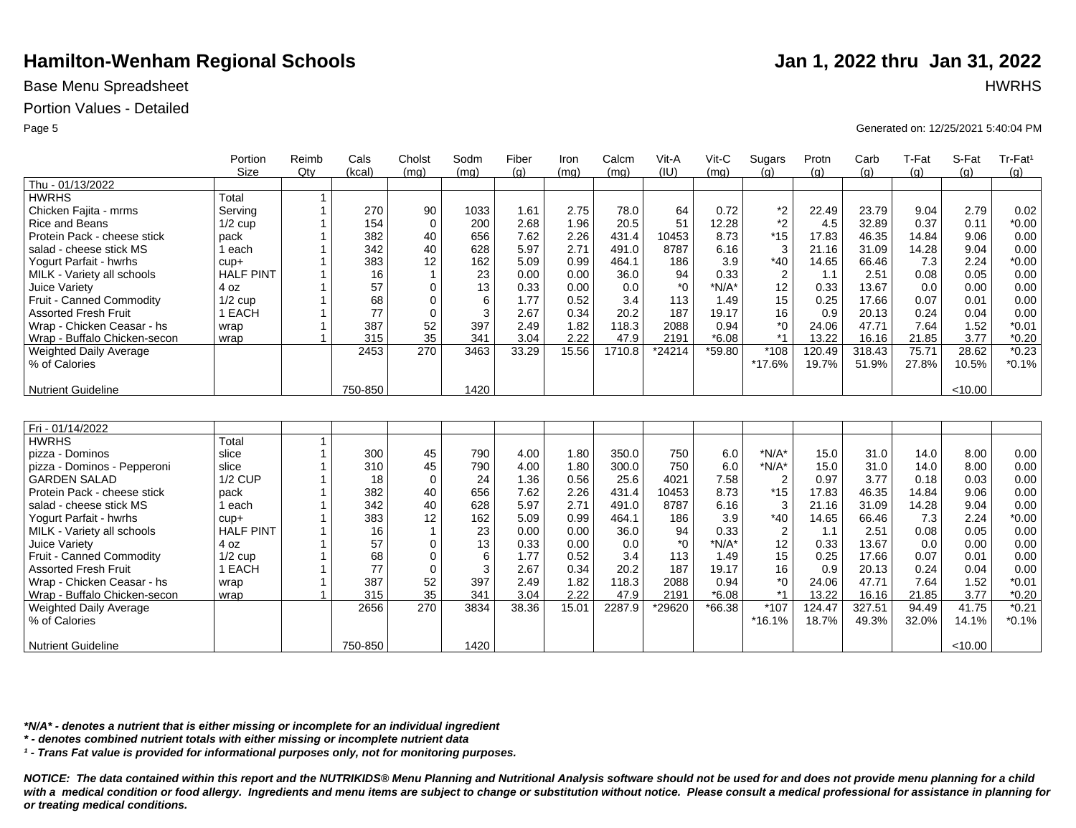## Base Menu Spreadsheet **HWRHS**

## Portion Values - Detailed

|                               | Portion          | Reimb          | Cals    | Cholst         | Sodm | Fiber | Iron  | Calcm  | Vit-A   | Vit-C    | Sugars                  | Protn  | Carb   | T-Fat | S-Fat   | Tr-Fat <sup>1</sup> |
|-------------------------------|------------------|----------------|---------|----------------|------|-------|-------|--------|---------|----------|-------------------------|--------|--------|-------|---------|---------------------|
|                               | <b>Size</b>      | Qty            | (kcal)  | (mq)           | (mq) | (q)   | (mq)  | (mq)   | (III)   | (mq)     | (q)                     | (q)    | (q)    | (q)   | (q)     | (g)                 |
| Thu - 01/13/2022              |                  |                |         |                |      |       |       |        |         |          |                         |        |        |       |         |                     |
| <b>HWRHS</b>                  | Total            | $\mathbf{1}$   |         |                |      |       |       |        |         |          |                         |        |        |       |         |                     |
| Chicken Fajita - mrms         | Servina          | $\mathbf{1}$   | 270     | 90             | 1033 | 1.61  | 2.75  | 78.0   | 64      | 0.72     | *2                      | 22.49  | 23.79  | 9.04  | 2.79    | 0.02                |
| <b>Rice and Beans</b>         | $1/2$ cup        | $\mathbf 1$    | 154     | $\mathbf 0$    | 200  | 2.68  | 1.96  | 20.5   | 51      | 12.28    | $*2$                    | 4.5    | 32.89  | 0.37  | 0.11    | $*0.00$             |
| Protein Pack - cheese stick   | pack             | $\overline{1}$ | 382     | 40             | 656  | 7.62  | 2.26  | 431.4  | 10453   | 8.73     | $*15$                   | 17.83  | 46.35  | 14.84 | 9.06    | 0.00                |
| salad - cheese stick MS       | 1 each           |                | 342     | 40             | 628  | 5.97  | 2.71  | 491.0  | 8787    | 6.16     | 3                       | 21.16  | 31.09  | 14.28 | 9.04    | 0.00                |
| Yogurt Parfait - hwrhs        | $cup +$          | $\overline{1}$ | 383     | 12             | 162  | 5.09  | 0.99  | 464.1  | 186     | 3.9      | $*40$                   | 14.65  | 66.46  | 7.3   | 2.24    | $*0.00$             |
| MILK - Variety all schools    | <b>HALF PINT</b> | $\mathbf 1$    | 16      | $\overline{1}$ | 23   | 0.00  | 0.00  | 36.0   | 94      | 0.33     | $\overline{2}$          | 1.1    | 2.51   | 0.08  | 0.05    | 0.00                |
| Juice Variety                 | 4 oz             | $\mathbf{1}$   | 57      | 0              | 13   | 0.33  | 0.00  | 0.0    | $^*0$   | $*N/A*$  | 12                      | 0.33   | 13.67  | 0.0   | 0.00    | 0.00                |
| Fruit - Canned Commodity      | $1/2$ cup        | 1              | 68      | 0              | 6    | 1.77  | 0.52  | 3.4    | 113     | 1.49     | 15                      | 0.25   | 17.66  | 0.07  | 0.01    | 0.00                |
| <b>Assorted Fresh Fruit</b>   | 1 EACH           | 1              | 77      | $\mathbf 0$    | 3    | 2.67  | 0.34  | 20.2   | 187     | 19.17    | 16                      | 0.9    | 20.13  | 0.24  | 0.04    | 0.00                |
| Wrap - Chicken Ceasar - hs    | wrap             | $\mathbf{1}$   | 387     | 52             | 397  | 2.49  | 1.82  | 118.3  | 2088    | 0.94     | *0                      | 24.06  | 47.71  | 7.64  | 1.52    | $*0.01$             |
| Wrap - Buffalo Chicken-secon  | wrap             | $\overline{1}$ | 315     | 35             | 341  | 3.04  | 2.22  | 47.9   | 2191    | $*6.08$  | $*1$                    | 13.22  | 16.16  | 21.85 | 3.77    | $*0.20$             |
| Weighted Daily Average        |                  |                | 2453    | 270            | 3463 | 33.29 | 15.56 | 1710.8 | *24214  | *59.80   | $*108$                  | 120.49 | 318.43 | 75.71 | 28.62   | $*0.23$             |
| % of Calories                 |                  |                |         |                |      |       |       |        |         |          | *17.6%                  | 19.7%  | 51.9%  | 27.8% | 10.5%   | $*0.1%$             |
|                               |                  |                |         |                |      |       |       |        |         |          |                         |        |        |       |         |                     |
| <b>Nutrient Guideline</b>     |                  |                | 750-850 |                | 1420 |       |       |        |         |          |                         |        |        |       | < 10.00 |                     |
|                               |                  |                |         |                |      |       |       |        |         |          |                         |        |        |       |         |                     |
|                               |                  |                |         |                |      |       |       |        |         |          |                         |        |        |       |         |                     |
| Fri - 01/14/2022              |                  |                |         |                |      |       |       |        |         |          |                         |        |        |       |         |                     |
| <b>HWRHS</b>                  | Total            | $\mathbf{1}$   |         |                |      |       |       |        |         |          |                         |        |        |       |         |                     |
| pizza - Dominos               | slice            | $\mathbf{1}$   | 300     | 45             | 790  | 4.00  | 1.80  | 350.0  | 750     | 6.0      | $*N/A*$                 | 15.0   | 31.0   | 14.0  | 8.00    | 0.00                |
| pizza - Dominos - Pepperoni   | slice            |                | 310     | 45             | 790  | 4.00  | 1.80  | 300.0  | 750     | 6.0      | $*N/A*$                 | 15.0   | 31.0   | 14.0  | 8.00    | 0.00                |
| <b>GARDEN SALAD</b>           | <b>1/2 CUP</b>   | $\mathbf 1$    | 18      | $\mathbf 0$    | 24   | 1.36  | 0.56  | 25.6   | 4021    | 7.58     | $\overline{\mathbf{c}}$ | 0.97   | 3.77   | 0.18  | 0.03    | 0.00                |
| Protein Pack - cheese stick   | pack             | $\mathbf 1$    | 382     | 40             | 656  | 7.62  | 2.26  | 431.4  | 10453   | 8.73     | $*15$                   | 17.83  | 46.35  | 14.84 | 9.06    | 0.00                |
| salad - cheese stick MS       | 1 each           | $\overline{1}$ | 342     | 40             | 628  | 5.97  | 2.71  | 491.0  | 8787    | 6.16     | 3                       | 21.16  | 31.09  | 14.28 | 9.04    | 0.00                |
| Yogurt Parfait - hwrhs        | $cup +$          | 1              | 383     | 12             | 162  | 5.09  | 0.99  | 464.1  | 186     | 3.9      | $*40$                   | 14.65  | 66.46  | 7.3   | 2.24    | $*0.00$             |
| MILK - Variety all schools    | <b>HALF PINT</b> | 1              | 16      | $\overline{1}$ | 23   | 0.00  | 0.00  | 36.0   | 94      | 0.33     | $\overline{2}$          | 1.1    | 2.51   | 0.08  | 0.05    | 0.00                |
| Juice Variety                 | 4 oz             | $\mathbf 1$    | 57      | 0              | 13   | 0.33  | 0.00  | 0.0    | $*_{0}$ | $*N/A*$  | 12                      | 0.33   | 13.67  | 0.0   | 0.00    | 0.00                |
| Fruit - Canned Commodity      | $1/2$ cup        | $\mathbf 1$    | 68      | 0              | 6    | 1.77  | 0.52  | 3.4    | 113     | 1.49     | 15                      | 0.25   | 17.66  | 0.07  | 0.01    | 0.00                |
| <b>Assorted Fresh Fruit</b>   | 1 EACH           | $\mathbf 1$    | 77      | $\mathbf 0$    | 3    | 2.67  | 0.34  | 20.2   | 187     | 19.17    | 16                      | 0.9    | 20.13  | 0.24  | 0.04    | 0.00                |
| Wrap - Chicken Ceasar - hs    | wrap             | $\mathbf 1$    | 387     | 52             | 397  | 2.49  | 1.82  | 118.3  | 2088    | 0.94     | *0                      | 24.06  | 47.71  | 7.64  | 1.52    | $*0.01$             |
| Wrap - Buffalo Chicken-secon  | wrap             | $\overline{1}$ | 315     | 35             | 341  | 3.04  | 2.22  | 47.9   | 2191    | $*6.08$  | $*1$                    | 13.22  | 16.16  | 21.85 | 3.77    | $*0.20$             |
| <b>Weighted Daily Average</b> |                  |                | 2656    | 270            | 3834 | 38.36 | 15.01 | 2287.9 | *29620  | $*66.38$ | *107                    | 124.47 | 327.51 | 94.49 | 41.75   | $*0.21$             |
| % of Calories                 |                  |                |         |                |      |       |       |        |         |          | $*16.1%$                | 18.7%  | 49.3%  | 32.0% | 14.1%   | $*0.1%$             |
|                               |                  |                |         |                |      |       |       |        |         |          |                         |        |        |       |         |                     |
| <b>Nutrient Guideline</b>     |                  |                | 750-850 |                | 1420 |       |       |        |         |          |                         |        |        |       | < 10.00 |                     |

*\*N/A\* - denotes a nutrient that is either missing or incomplete for an individual ingredient*

*\* - denotes combined nutrient totals with either missing or incomplete nutrient data*

*¹ - Trans Fat value is provided for informational purposes only, not for monitoring purposes.*

*NOTICE: The data contained within this report and the NUTRIKIDS® Menu Planning and Nutritional Analysis software should not be used for and does not provide menu planning for a child*  with a medical condition or food allergy. Ingredients and menu items are subject to change or substitution without notice. Please consult a medical professional for assistance in planning for *or treating medical conditions.*

### Page 5 Generated on: 12/25/2021 5:40:04 PM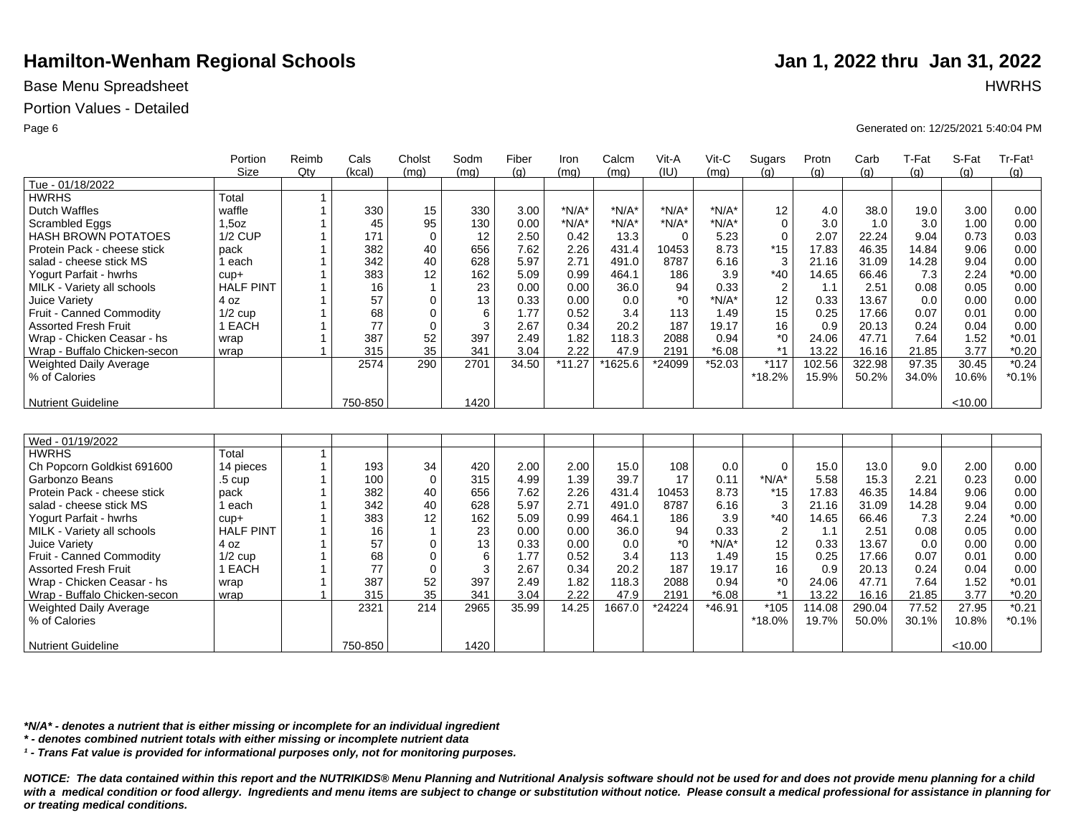## Base Menu Spreadsheet **HWRHS**

## Portion Values - Detailed

|                               | Portion          | Reimb          | Cals    | Cholst       | Sodm | Fiber | Iron     | Calcm   | Vit-A    | Vit-C   | Sugars         | Protn  | Carb   | T-Fat | S-Fat   | Tr-Fat <sup>1</sup> |
|-------------------------------|------------------|----------------|---------|--------------|------|-------|----------|---------|----------|---------|----------------|--------|--------|-------|---------|---------------------|
|                               | <b>Size</b>      | $Q$ ty         | (kcal)  | (mq)         | (mq) | (q)   | (mq)     | (mq)    | (IU)     | (mq)    | (q)            | (q)    | (q)    | (a)   | (q)     | (q)                 |
| Tue - 01/18/2022              |                  |                |         |              |      |       |          |         |          |         |                |        |        |       |         |                     |
| <b>HWRHS</b>                  | Total            | 1              |         |              |      |       |          |         |          |         |                |        |        |       |         |                     |
| <b>Dutch Waffles</b>          | waffle           | $\mathbf{1}$   | 330     | 15           | 330  | 3.00  | $*N/A*$  | $*N/A*$ | $*N/A*$  | $*N/A*$ | 12             | 4.0    | 38.0   | 19.0  | 3.00    | 0.00                |
| Scrambled Eggs                | $1,5$ oz         | 1              | 45      | 95           | 130  | 0.00  | $*N/A*$  | $*N/A*$ | $*N/A*$  | $*N/A*$ | $\Omega$       | 3.0    | 1.0    | 3.0   | 1.00    | 0.00                |
| <b>HASH BROWN POTATOES</b>    | <b>1/2 CUP</b>   | 1              | 171     | $\Omega$     | 12   | 2.50  | 0.42     | 13.3    | $\Omega$ | 5.23    | $\Omega$       | 2.07   | 22.24  | 9.04  | 0.73    | 0.03                |
| Protein Pack - cheese stick   | pack             | 1              | 382     | 40           | 656  | 7.62  | 2.26     | 431.4   | 10453    | 8.73    | $*15$          | 17.83  | 46.35  | 14.84 | 9.06    | 0.00                |
| salad - cheese stick MS       | each             | 1              | 342     | 40           | 628  | 5.97  | 2.71     | 491.0   | 8787     | 6.16    | 3              | 21.16  | 31.09  | 14.28 | 9.04    | 0.00                |
| Yogurt Parfait - hwrhs        | $cup +$          |                | 383     | 12           | 162  | 5.09  | 0.99     | 464.1   | 186      | 3.9     | $*40$          | 14.65  | 66.46  | 7.3   | 2.24    | $*0.00$             |
| MILK - Variety all schools    | <b>HALF PINT</b> | 1              | 16      | $\mathbf{1}$ | 23   | 0.00  | 0.00     | 36.0    | 94       | 0.33    | $\overline{2}$ | 1.1    | 2.51   | 0.08  | 0.05    | 0.00                |
| Juice Variety                 | 4 oz             | 1              | 57      | 0            | 13   | 0.33  | 0.00     | 0.0     | $^*0$    | $*N/A*$ | 12             | 0.33   | 13.67  | 0.0   | 0.00    | 0.00                |
| Fruit - Canned Commodity      | $1/2$ cup        | 1              | 68      | $\mathbf 0$  | 6    | 1.77  | 0.52     | 3.4     | 113      | 1.49    | 15             | 0.25   | 17.66  | 0.07  | 0.01    | 0.00                |
| <b>Assorted Fresh Fruit</b>   | 1 EACH           | 1              | 77      | $\mathbf 0$  | 3    | 2.67  | 0.34     | 20.2    | 187      | 19.17   | 16             | 0.9    | 20.13  | 0.24  | 0.04    | 0.00                |
| Wrap - Chicken Ceasar - hs    | wrap             | $\overline{1}$ | 387     | 52           | 397  | 2.49  | 1.82     | 118.3   | 2088     | 0.94    | $^*0$          | 24.06  | 47.71  | 7.64  | 1.52    | $*0.01$             |
| Wrap - Buffalo Chicken-secon  | wrap             | 1              | 315     | 35           | 341  | 3.04  | 2.22     | 47.9    | 2191     | $*6.08$ | $*1$           | 13.22  | 16.16  | 21.85 | 3.77    | $*0.20$             |
| Weighted Daily Average        |                  |                | 2574    | 290          | 2701 | 34.50 | $*11.27$ | *1625.6 | *24099   | *52.03  | $*117$         | 102.56 | 322.98 | 97.35 | 30.45   | $*0.24$             |
| % of Calories                 |                  |                |         |              |      |       |          |         |          |         | *18.2%         | 15.9%  | 50.2%  | 34.0% | 10.6%   | $*0.1%$             |
|                               |                  |                |         |              |      |       |          |         |          |         |                |        |        |       |         |                     |
| <b>Nutrient Guideline</b>     |                  |                | 750-850 |              | 1420 |       |          |         |          |         |                |        |        |       | < 10.00 |                     |
|                               |                  |                |         |              |      |       |          |         |          |         |                |        |        |       |         |                     |
|                               |                  |                |         |              |      |       |          |         |          |         |                |        |        |       |         |                     |
| Wed - 01/19/2022              |                  |                |         |              |      |       |          |         |          |         |                |        |        |       |         |                     |
| <b>HWRHS</b>                  | Total            | $\mathbf{1}$   |         |              |      |       |          |         |          |         |                |        |        |       |         |                     |
| Ch Popcorn Goldkist 691600    | 14 pieces        | $\mathbf{1}$   | 193     | 34           | 420  | 2.00  | 2.00     | 15.0    | 108      | 0.0     | $\mathbf 0$    | 15.0   | 13.0   | 9.0   | 2.00    | 0.00                |
| Garbonzo Beans                | $.5 \text{ cup}$ | 1              | 100     | $\mathbf 0$  | 315  | 4.99  | 1.39     | 39.7    | 17       | 0.11    | $*N/A*$        | 5.58   | 15.3   | 2.21  | 0.23    | 0.00                |
| Protein Pack - cheese stick   | pack             | 1              | 382     | 40           | 656  | 7.62  | 2.26     | 431.4   | 10453    | 8.73    | $*15$          | 17.83  | 46.35  | 14.84 | 9.06    | 0.00                |
| salad - cheese stick MS       | l each           | 1              | 342     | 40           | 628  | 5.97  | 2.71     | 491.0   | 8787     | 6.16    | 3              | 21.16  | 31.09  | 14.28 | 9.04    | 0.00                |
| Yogurt Parfait - hwrhs        | $cup +$          | 1              | 383     | 12           | 162  | 5.09  | 0.99     | 464.1   | 186      | 3.9     | $*40$          | 14.65  | 66.46  | 7.3   | 2.24    | $*0.00$             |
| MILK - Variety all schools    | <b>HALF PINT</b> | 1              | 16      | $\mathbf{1}$ | 23   | 0.00  | 0.00     | 36.0    | 94       | 0.33    | $\overline{2}$ | 1.1    | 2.51   | 0.08  | 0.05    | 0.00                |
| Juice Variety                 | 4 oz             | 1              | 57      | $\mathbf 0$  | 13   | 0.33  | 0.00     | 0.0     | $*_{0}$  | $*N/A*$ | 12             | 0.33   | 13.67  | 0.0   | 0.00    | 0.00                |
| Fruit - Canned Commodity      | $1/2$ cup        | 1              | 68      | $\mathbf 0$  | 6    | 1.77  | 0.52     | 3.4     | 113      | 1.49    | 15             | 0.25   | 17.66  | 0.07  | 0.01    | 0.00                |
| <b>Assorted Fresh Fruit</b>   | 1 EACH           | 1              | 77      | $\mathbf 0$  | 3    | 2.67  | 0.34     | 20.2    | 187      | 19.17   | 16             | 0.9    | 20.13  | 0.24  | 0.04    | 0.00                |
| Wrap - Chicken Ceasar - hs    | wrap             | 1              | 387     | 52           | 397  | 2.49  | 1.82     | 118.3   | 2088     | 0.94    | $^*0$          | 24.06  | 47.71  | 7.64  | 1.52    | $*0.01$             |
| Wrap - Buffalo Chicken-secon  | wrap             | $\mathbf{1}$   | 315     | 35           | 341  | 3.04  | 2.22     | 47.9    | 2191     | $*6.08$ | $*1$           | 13.22  | 16.16  | 21.85 | 3.77    | $*0.20$             |
| <b>Weighted Daily Average</b> |                  |                | 2321    | 214          | 2965 | 35.99 | 14.25    | 1667.0  | *24224   | *46.91  | *105           | 114.08 | 290.04 | 77.52 | 27.95   | $*0.21$             |
| % of Calories                 |                  |                |         |              |      |       |          |         |          |         | *18.0%         | 19.7%  | 50.0%  | 30.1% | 10.8%   | $*0.1%$             |
|                               |                  |                |         |              |      |       |          |         |          |         |                |        |        |       |         |                     |
| <b>Nutrient Guideline</b>     |                  |                | 750-850 |              | 1420 |       |          |         |          |         |                |        |        |       | < 10.00 |                     |

*\*N/A\* - denotes a nutrient that is either missing or incomplete for an individual ingredient*

*\* - denotes combined nutrient totals with either missing or incomplete nutrient data*

*¹ - Trans Fat value is provided for informational purposes only, not for monitoring purposes.*

*NOTICE: The data contained within this report and the NUTRIKIDS® Menu Planning and Nutritional Analysis software should not be used for and does not provide menu planning for a child*  with a medical condition or food allergy. Ingredients and menu items are subject to change or substitution without notice. Please consult a medical professional for assistance in planning for *or treating medical conditions.*

Page 6 Generated on: 12/25/2021 5:40:04 PM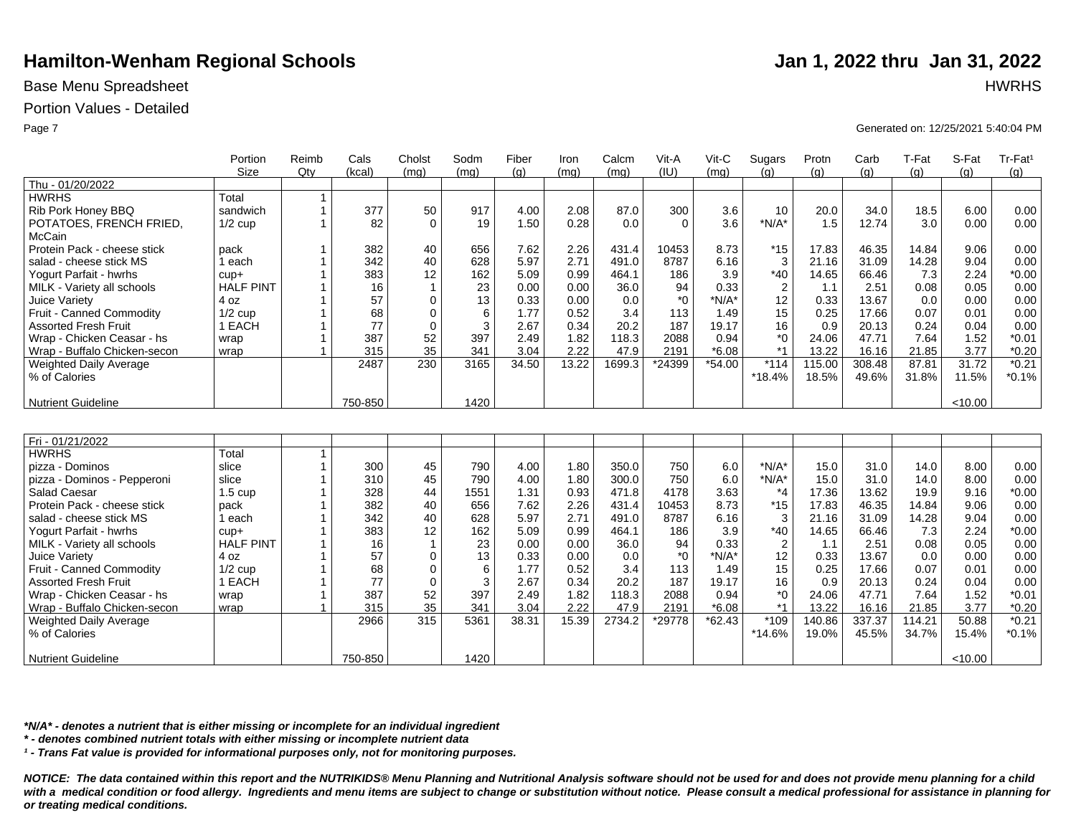## Base Menu Spreadsheet **HWRHS**

## Portion Values - Detailed

|                              | Portion           | Reimb                | Cals    | Cholst         | Sodm | Fiber | Iron  | Calcm  | Vit-A    | Vit-C    | Sugars         | Protn  | Carb   | T-Fat  | S-Fat   | Tr-Fat <sup>1</sup> |
|------------------------------|-------------------|----------------------|---------|----------------|------|-------|-------|--------|----------|----------|----------------|--------|--------|--------|---------|---------------------|
| Thu - 01/20/2022             | <b>Size</b>       | Qty                  | (kcal)  | (mq)           | (mq) | (q)   | (mq)  | (mq)   | (IU)     | (mq)     | (q)            | (q)    | (q)    | (q)    | (q)     | (g)                 |
| <b>HWRHS</b>                 | Total             | $\mathbf{1}$         |         |                |      |       |       |        |          |          |                |        |        |        |         |                     |
| Rib Pork Honey BBQ           | sandwich          | $\overline{1}$       | 377     | 50             | 917  | 4.00  | 2.08  | 87.0   | 300      | 3.6      | 10             | 20.0   | 34.0   | 18.5   | 6.00    | 0.00                |
| POTATOES, FRENCH FRIED,      | $1/2$ cup         | $\mathbf{1}$         | 82      | $\Omega$       | 19   | 1.50  | 0.28  | 0.0    | $\Omega$ | 3.6      | $*N/A*$        | 1.5    | 12.74  | 3.0    | 0.00    | 0.00                |
| McCain                       |                   |                      |         |                |      |       |       |        |          |          |                |        |        |        |         |                     |
| Protein Pack - cheese stick  | pack              | $\mathbf{1}$         | 382     | 40             | 656  | 7.62  | 2.26  | 431.4  | 10453    | 8.73     | $*15$          | 17.83  | 46.35  | 14.84  | 9.06    | 0.00                |
| salad - cheese stick MS      | 1 each            | $\mathbf 1$          | 342     | 40             | 628  | 5.97  | 2.71  | 491.0  | 8787     | 6.16     | 3              | 21.16  | 31.09  | 14.28  | 9.04    | 0.00                |
| Yogurt Parfait - hwrhs       | $cup +$           | $\overline{1}$       | 383     | 12             | 162  | 5.09  | 0.99  | 464.1  | 186      | 3.9      | $*40$          | 14.65  | 66.46  | 7.3    | 2.24    | $*0.00$             |
| MILK - Variety all schools   | <b>HALF PINT</b>  | $\mathbf 1$          | 16      | $\mathbf 1$    | 23   | 0.00  | 0.00  | 36.0   | 94       | 0.33     | $\overline{c}$ | 1.1    | 2.51   | 0.08   | 0.05    | 0.00                |
| Juice Variety                | 4 oz              | $\overline{1}$       | 57      | $\Omega$       | 13   | 0.33  | 0.00  | 0.0    | $*_{0}$  | $*N/A*$  | 12             | 0.33   | 13.67  | 0.0    | 0.00    | 0.00                |
| Fruit - Canned Commodity     | $1/2$ cup         | $\blacktriangleleft$ | 68      | $\Omega$       | 6    | 1.77  | 0.52  | 3.4    | 113      | 1.49     | 15             | 0.25   | 17.66  | 0.07   | 0.01    | 0.00                |
| <b>Assorted Fresh Fruit</b>  | 1 EACH            |                      | 77      | $\mathbf 0$    | 3    | 2.67  | 0.34  | 20.2   | 187      | 19.17    | 16             | 0.9    | 20.13  | 0.24   | 0.04    | 0.00                |
| Wrap - Chicken Ceasar - hs   | wrap              | 1                    | 387     | 52             | 397  | 2.49  | 1.82  | 118.3  | 2088     | 0.94     | *0             | 24.06  | 47.71  | 7.64   | 1.52    | $*0.01$             |
| Wrap - Buffalo Chicken-secon | wrap              | $\overline{ }$       | 315     | 35             | 341  | 3.04  | 2.22  | 47.9   | 2191     | $*6.08$  | $*1$           | 13.22  | 16.16  | 21.85  | 3.77    | $*0.20$             |
| Weighted Daily Average       |                   |                      | 2487    | 230            | 3165 | 34.50 | 13.22 | 1699.3 | *24399   | $*54.00$ | $*114$         | 115.00 | 308.48 | 87.81  | 31.72   | $*0.21$             |
| % of Calories                |                   |                      |         |                |      |       |       |        |          |          | $*18.4%$       | 18.5%  | 49.6%  | 31.8%  | 11.5%   | $*0.1%$             |
| <b>Nutrient Guideline</b>    |                   |                      | 750-850 |                | 1420 |       |       |        |          |          |                |        |        |        | < 10.00 |                     |
|                              |                   |                      |         |                |      |       |       |        |          |          |                |        |        |        |         |                     |
| Fri - 01/21/2022             |                   |                      |         |                |      |       |       |        |          |          |                |        |        |        |         |                     |
| <b>HWRHS</b>                 | Total             | $\mathbf{1}$         |         |                |      |       |       |        |          |          |                |        |        |        |         |                     |
| pizza - Dominos              | slice             | $\mathbf{1}$         | 300     | 45             | 790  | 4.00  | 1.80  | 350.0  | 750      | 6.0      | $*N/A*$        | 15.0   | 31.0   | 14.0   | 8.00    | 0.00                |
| pizza - Dominos - Pepperoni  | slice             | 1                    | 310     | 45             | 790  | 4.00  | 1.80  | 300.0  | 750      | 6.0      | $*N/A*$        | 15.0   | 31.0   | 14.0   | 8.00    | 0.00                |
| <b>Salad Caesar</b>          | $1.5 \text{ cup}$ |                      | 328     | 44             | 1551 | 1.31  | 0.93  | 471.8  | 4178     | 3.63     | $*_{4}$        | 17.36  | 13.62  | 19.9   | 9.16    | $*0.00$             |
| Protein Pack - cheese stick  | pack              |                      | 382     | 40             | 656  | 7.62  | 2.26  | 431.4  | 10453    | 8.73     | $*15$          | 17.83  | 46.35  | 14.84  | 9.06    | 0.00                |
| salad - cheese stick MS      | 1 each            | $\mathbf{1}$         | 342     | 40             | 628  | 5.97  | 2.71  | 491.0  | 8787     | 6.16     | 3              | 21.16  | 31.09  | 14.28  | 9.04    | 0.00                |
| Yogurt Parfait - hwrhs       | $cup +$           | $\mathbf 1$          | 383     | 12             | 162  | 5.09  | 0.99  | 464.1  | 186      | 3.9      | $*40$          | 14.65  | 66.46  | 7.3    | 2.24    | $*0.00$             |
| MILK - Variety all schools   | <b>HALF PINT</b>  | $\mathbf{1}$         | 16      | $\overline{1}$ | 23   | 0.00  | 0.00  | 36.0   | 94       | 0.33     | $\overline{c}$ | 1.1    | 2.51   | 0.08   | 0.05    | 0.00                |
| Juice Variety                | 4 oz              | $\mathbf{1}$         | 57      | $\mathbf 0$    | 13   | 0.33  | 0.00  | 0.0    | $^*0$    | $*N/A*$  | 12             | 0.33   | 13.67  | 0.0    | 0.00    | 0.00                |
| Fruit - Canned Commodity     | $1/2$ cup         | $\mathbf{1}$         | 68      | $\mathbf 0$    | 6    | 1.77  | 0.52  | 3.4    | 113      | 1.49     | 15             | 0.25   | 17.66  | 0.07   | 0.01    | 0.00                |
| <b>Assorted Fresh Fruit</b>  | 1 EACH            | $\mathbf{1}$         | 77      | $\Omega$       | 3    | 2.67  | 0.34  | 20.2   | 187      | 19.17    | 16             | 0.9    | 20.13  | 0.24   | 0.04    | 0.00                |
| Wrap - Chicken Ceasar - hs   | wrap              | $\mathbf{1}$         | 387     | 52             | 397  | 2.49  | 1.82  | 118.3  | 2088     | 0.94     | $*_{0}$        | 24.06  | 47.71  | 7.64   | 1.52    | $*0.01$             |
| Wrap - Buffalo Chicken-secon | wrap              | $\overline{1}$       | 315     | 35             | 341  | 3.04  | 2.22  | 47.9   | 2191     | $*6.08$  | $*1$           | 13.22  | 16.16  | 21.85  | 3.77    | $*0.20$             |
| Weighted Daily Average       |                   |                      | 2966    | 315            | 5361 | 38.31 | 15.39 | 2734.2 | *29778   | $*62.43$ | $*109$         | 140.86 | 337.37 | 114.21 | 50.88   | $*0.21$             |
| % of Calories                |                   |                      |         |                |      |       |       |        |          |          | $*14.6%$       | 19.0%  | 45.5%  | 34.7%  | 15.4%   | $*0.1%$             |
| <b>Nutrient Guideline</b>    |                   |                      | 750-850 |                | 1420 |       |       |        |          |          |                |        |        |        | < 10.00 |                     |

*\*N/A\* - denotes a nutrient that is either missing or incomplete for an individual ingredient*

*\* - denotes combined nutrient totals with either missing or incomplete nutrient data*

*¹ - Trans Fat value is provided for informational purposes only, not for monitoring purposes.*

*NOTICE: The data contained within this report and the NUTRIKIDS® Menu Planning and Nutritional Analysis software should not be used for and does not provide menu planning for a child*  with a medical condition or food allergy. Ingredients and menu items are subject to change or substitution without notice. Please consult a medical professional for assistance in planning for *or treating medical conditions.*

Page 7 Generated on: 12/25/2021 5:40:04 PM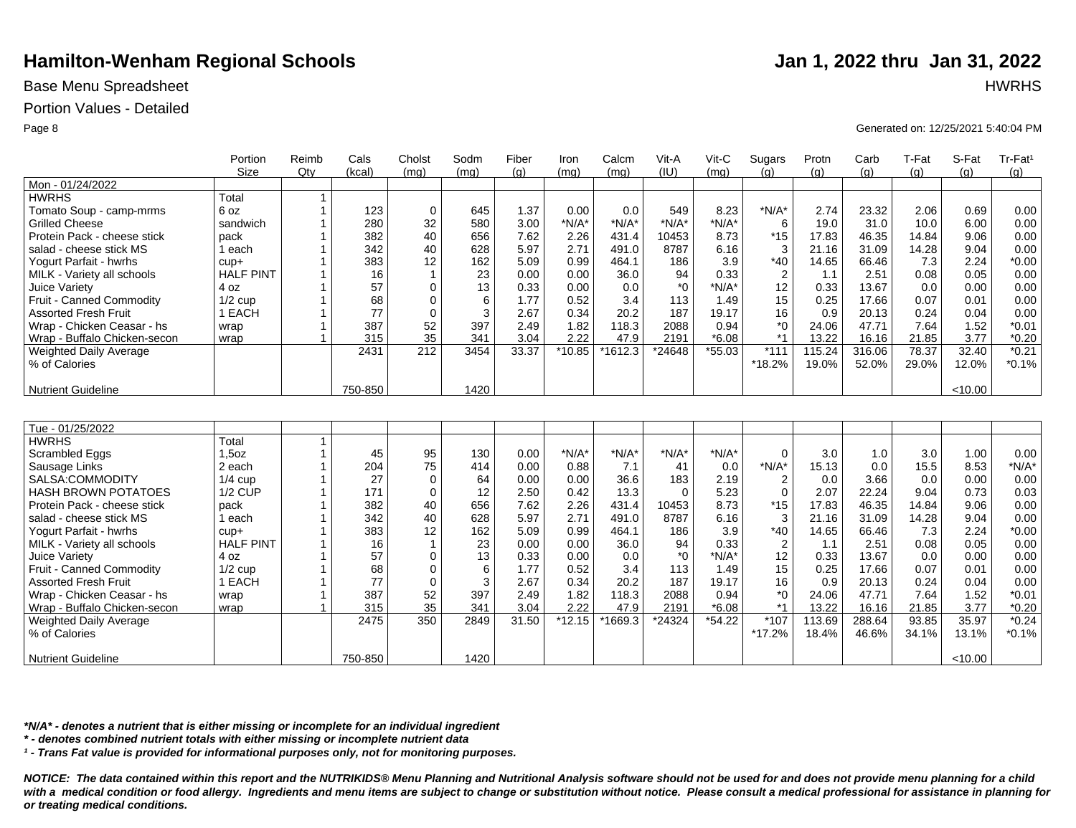## Base Menu Spreadsheet **HWRHS**

## Portion Values - Detailed

|                              | Portion          | Reimb        | Cals    | Cholst         | Sodm | Fiber | Iron     | Calcm     | Vit-A    | Vit-C    | Sugars         | Protn  | Carb   | T-Fat | S-Fat   | Tr-Fat <sup>1</sup> |
|------------------------------|------------------|--------------|---------|----------------|------|-------|----------|-----------|----------|----------|----------------|--------|--------|-------|---------|---------------------|
|                              | <b>Size</b>      | Qty          | (kcal)  | (mq)           | (mq) | (q)   | (mq)     | (mq)      | (IU)     | (mq)     | (q)            | (q)    | (q)    | (q)   | (q)     | (g)                 |
| Mon - 01/24/2022             |                  |              |         |                |      |       |          |           |          |          |                |        |        |       |         |                     |
| <b>HWRHS</b>                 | Total            | $\mathbf{1}$ |         |                |      |       |          |           |          |          |                |        |        |       |         |                     |
| Tomato Soup - camp-mrms      | 6 oz             | $\mathbf{1}$ | 123     | $\mathbf 0$    | 645  | 1.37  | 0.00     | 0.0       | 549      | 8.23     | $*N/A*$        | 2.74   | 23.32  | 2.06  | 0.69    | 0.00                |
| <b>Grilled Cheese</b>        | sandwich         |              | 280     | 32             | 580  | 3.00  | $*N/A*$  | $*N/A*$   | $*N/A*$  | $*N/A*$  | 6              | 19.0   | 31.0   | 10.0  | 6.00    | 0.00                |
| Protein Pack - cheese stick  | pack             |              | 382     | 40             | 656  | 7.62  | 2.26     | 431.4     | 10453    | 8.73     | $*15$          | 17.83  | 46.35  | 14.84 | 9.06    | 0.00                |
| salad - cheese stick MS      | 1 each           |              | 342     | 40             | 628  | 5.97  | 2.71     | 491.0     | 8787     | 6.16     | 3              | 21.16  | 31.09  | 14.28 | 9.04    | 0.00                |
| Yogurt Parfait - hwrhs       | $cup +$          |              | 383     | 12             | 162  | 5.09  | 0.99     | 464.1     | 186      | 3.9      | $*40$          | 14.65  | 66.46  | 7.3   | 2.24    | $*0.00$             |
| MILK - Variety all schools   | <b>HALF PINT</b> |              | 16      | $\overline{1}$ | 23   | 0.00  | 0.00     | 36.0      | 94       | 0.33     | $\overline{2}$ | 1.1    | 2.51   | 0.08  | 0.05    | 0.00                |
| Juice Variety                | 4 oz             |              | 57      | $\Omega$       | 13   | 0.33  | 0.00     | 0.0       | $*_{0}$  | $*N/A*$  | 12             | 0.33   | 13.67  | 0.0   | 0.00    | 0.00                |
| Fruit - Canned Commodity     | $1/2$ cup        |              | 68      | $\Omega$       | 6    | 1.77  | 0.52     | 3.4       | 113      | 1.49     | 15             | 0.25   | 17.66  | 0.07  | 0.01    | 0.00                |
| <b>Assorted Fresh Fruit</b>  | 1 EACH           |              | 77      | $\Omega$       | 3    | 2.67  | 0.34     | 20.2      | 187      | 19.17    | 16             | 0.9    | 20.13  | 0.24  | 0.04    | 0.00                |
| Wrap - Chicken Ceasar - hs   | wrap             |              | 387     | 52             | 397  | 2.49  | 1.82     | 118.3     | 2088     | 0.94     | $^*0$          | 24.06  | 47.71  | 7.64  | 1.52    | $*0.01$             |
| Wrap - Buffalo Chicken-secon | wrap             |              | 315     | 35             | 341  | 3.04  | 2.22     | 47.9      | 2191     | $*6.08$  | $*1$           | 13.22  | 16.16  | 21.85 | 3.77    | $*0.20$             |
| Weighted Daily Average       |                  |              | 2431    | 212            | 3454 | 33.37 | $*10.85$ | $*1612.3$ | *24648   | $*55.03$ | $*111$         | 115.24 | 316.06 | 78.37 | 32.40   | $*0.21$             |
| % of Calories                |                  |              |         |                |      |       |          |           |          |          | *18.2%         | 19.0%  | 52.0%  | 29.0% | 12.0%   | $*0.1%$             |
|                              |                  |              |         |                |      |       |          |           |          |          |                |        |        |       |         |                     |
| <b>Nutrient Guideline</b>    |                  |              | 750-850 |                | 1420 |       |          |           |          |          |                |        |        |       | < 10.00 |                     |
|                              |                  |              |         |                |      |       |          |           |          |          |                |        |        |       |         |                     |
|                              |                  |              |         |                |      |       |          |           |          |          |                |        |        |       |         |                     |
| Tue - 01/25/2022             |                  |              |         |                |      |       |          |           |          |          |                |        |        |       |         |                     |
| <b>HWRHS</b>                 | Total            | $\mathbf{1}$ |         |                |      |       |          |           |          |          |                |        |        |       |         |                     |
| Scrambled Eggs               | 1,5oz            | $\mathbf{1}$ | 45      | 95             | 130  | 0.00  | $*N/A*$  | $*N/A*$   | $*N/A*$  | $*N/A*$  | $\Omega$       | 3.0    | 1.0    | 3.0   | 1.00    | 0.00                |
| Sausage Links                | 2 each           |              | 204     | 75             | 414  | 0.00  | 0.88     | 7.1       | 41       | 0.0      | $*N/A*$        | 15.13  | 0.0    | 15.5  | 8.53    | $*N/A*$             |
| SALSA:COMMODITY              | $1/4$ cup        |              | 27      | $\mathbf 0$    | 64   | 0.00  | 0.00     | 36.6      | 183      | 2.19     | $\overline{2}$ | 0.0    | 3.66   | 0.0   | 0.00    | 0.00                |
| <b>HASH BROWN POTATOES</b>   | <b>1/2 CUP</b>   |              | 171     | $\mathbf 0$    | 12   | 2.50  | 0.42     | 13.3      | $\Omega$ | 5.23     | $\mathbf 0$    | 2.07   | 22.24  | 9.04  | 0.73    | 0.03                |
| Protein Pack - cheese stick  | pack             |              | 382     | 40             | 656  | 7.62  | 2.26     | 431.4     | 10453    | 8.73     | $*15$          | 17.83  | 46.35  | 14.84 | 9.06    | 0.00                |
| salad - cheese stick MS      | 1 each           |              | 342     | 40             | 628  | 5.97  | 2.71     | 491.0     | 8787     | 6.16     | 3              | 21.16  | 31.09  | 14.28 | 9.04    | 0.00                |
| Yogurt Parfait - hwrhs       | $cup +$          |              | 383     | 12             | 162  | 5.09  | 0.99     | 464.1     | 186      | 3.9      | $*40$          | 14.65  | 66.46  | 7.3   | 2.24    | $*0.00$             |
| MILK - Variety all schools   | <b>HALF PINT</b> |              | 16      | $\mathbf{1}$   | 23   | 0.00  | 0.00     | 36.0      | 94       | 0.33     | $\overline{2}$ | 1.1    | 2.51   | 0.08  | 0.05    | 0.00                |
| Juice Variety                | 4 oz             |              | 57      | $\mathbf 0$    | 13   | 0.33  | 0.00     | 0.0       | $*_{0}$  | $*N/A*$  | 12             | 0.33   | 13.67  | 0.0   | 0.00    | 0.00                |
| Fruit - Canned Commodity     | $1/2$ cup        |              | 68      | $\mathbf 0$    | 6    | 1.77  | 0.52     | 3.4       | 113      | 1.49     | 15             | 0.25   | 17.66  | 0.07  | 0.01    | 0.00                |
| <b>Assorted Fresh Fruit</b>  | 1 EACH           |              | 77      | $\Omega$       | 3    | 2.67  | 0.34     | 20.2      | 187      | 19.17    | 16             | 0.9    | 20.13  | 0.24  | 0.04    | 0.00                |
| Wrap - Chicken Ceasar - hs   | wrap             |              | 387     | 52             | 397  | 2.49  | 1.82     | 118.3     | 2088     | 0.94     | $*_{0}$        | 24.06  | 47.71  | 7.64  | 1.52    | $*0.01$             |
| Wrap - Buffalo Chicken-secon | wrap             |              | 315     | 35             | 341  | 3.04  | 2.22     | 47.9      | 2191     | $*6.08$  | $*1$           | 13.22  | 16.16  | 21.85 | 3.77    | $*0.20$             |
| Weighted Daily Average       |                  |              | 2475    | 350            | 2849 | 31.50 | $*12.15$ | *1669.3   | *24324   | $*54.22$ | $*107$         | 113.69 | 288.64 | 93.85 | 35.97   | $*0.24$             |
| % of Calories                |                  |              |         |                |      |       |          |           |          |          | $*17.2%$       | 18.4%  | 46.6%  | 34.1% | 13.1%   | $*0.1%$             |
|                              |                  |              |         |                |      |       |          |           |          |          |                |        |        |       |         |                     |
| <b>Nutrient Guideline</b>    |                  |              | 750-850 |                | 1420 |       |          |           |          |          |                |        |        |       | < 10.00 |                     |

*\*N/A\* - denotes a nutrient that is either missing or incomplete for an individual ingredient*

*\* - denotes combined nutrient totals with either missing or incomplete nutrient data*

*¹ - Trans Fat value is provided for informational purposes only, not for monitoring purposes.*

*NOTICE: The data contained within this report and the NUTRIKIDS® Menu Planning and Nutritional Analysis software should not be used for and does not provide menu planning for a child*  with a medical condition or food allergy. Ingredients and menu items are subject to change or substitution without notice. Please consult a medical professional for assistance in planning for *or treating medical conditions.*

### Page 8 Generated on: 12/25/2021 5:40:04 PM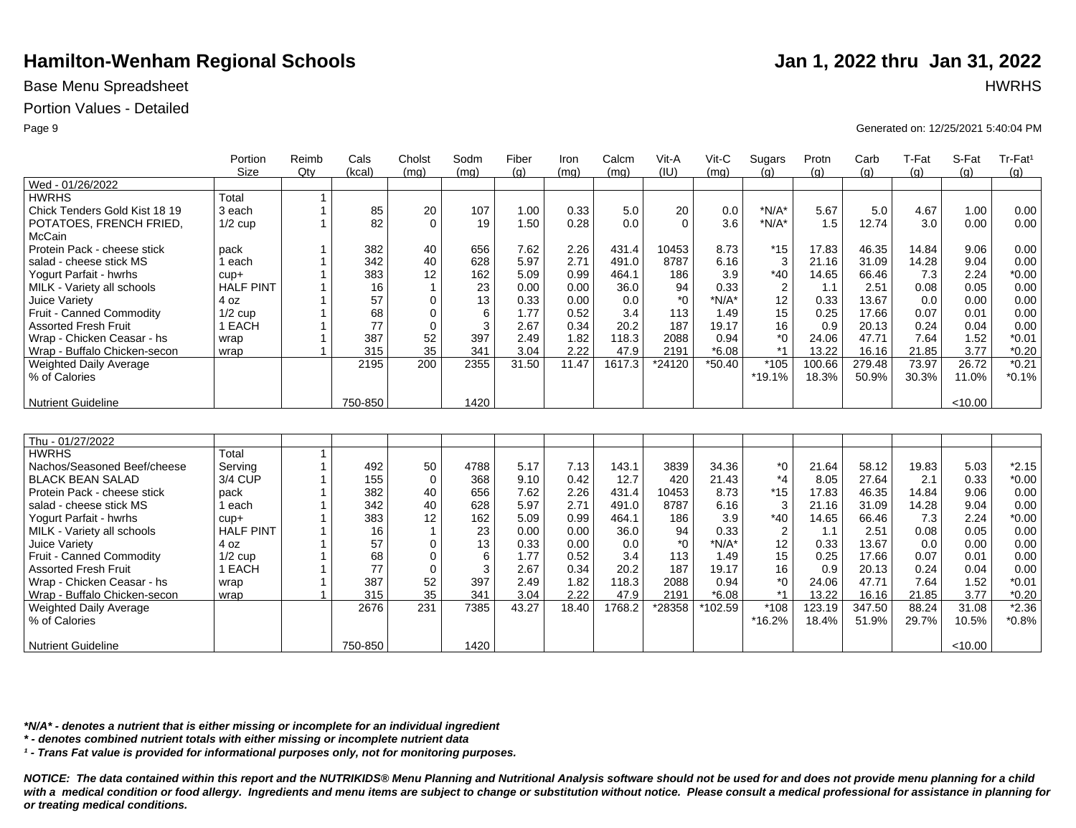## Base Menu Spreadsheet **HWRHS**

### Portion Values - Detailed

|                               | Portion          | Reimb        | Cals    | Cholst         | Sodm       | Fiber | Iron  | Calcm  | Vit-A    | Vit-C    | Sugars         | Protn  | Carb   | T-Fat | S-Fat   | Tr-Fat <sup>1</sup> |
|-------------------------------|------------------|--------------|---------|----------------|------------|-------|-------|--------|----------|----------|----------------|--------|--------|-------|---------|---------------------|
|                               | Size             | Qtv          | (kcal)  | (mq)           | (mq)       | (q)   | (mq)  | (mq)   | (IU)     | (mq)     | (a)            | (q)    | (q)    | (q)   | (q)     | (g)                 |
| Wed - 01/26/2022              |                  |              |         |                |            |       |       |        |          |          |                |        |        |       |         |                     |
| <b>HWRHS</b>                  | Total            | $\mathbf{1}$ |         |                |            |       |       |        |          |          |                |        |        |       |         |                     |
| Chick Tenders Gold Kist 18 19 | 3 each           |              | 85      | 20             | 107        | 1.00  | 0.33  | 5.0    | 20       | 0.0      | $*N/A*$        | 5.67   | 5.0    | 4.67  | 1.00    | 0.00                |
| POTATOES, FRENCH FRIED,       | $1/2$ cup        |              | 82      | $\Omega$       | 19         | 1.50  | 0.28  | 0.0    | $\Omega$ | 3.6      | $*N/A*$        | 1.5    | 12.74  | 3.0   | 0.00    | 0.00                |
| McCain                        |                  |              |         |                |            |       |       |        |          |          |                |        |        |       |         |                     |
| Protein Pack - cheese stick   | pack             |              | 382     | 40             | 656        | 7.62  | 2.26  | 431.4  | 10453    | 8.73     | $*15$          | 17.83  | 46.35  | 14.84 | 9.06    | 0.00                |
| salad - cheese stick MS       | 1 each           |              | 342     | 40             | 628        | 5.97  | 2.71  | 491.0  | 8787     | 6.16     | 3              | 21.16  | 31.09  | 14.28 | 9.04    | 0.00                |
| Yogurt Parfait - hwrhs        | $cup +$          |              | 383     | 12             | 162        | 5.09  | 0.99  | 464.1  | 186      | 3.9      | $*40$          | 14.65  | 66.46  | 7.3   | 2.24    | $*0.00$             |
| MILK - Variety all schools    | <b>HALF PINT</b> |              | 16      | $\mathbf{1}$   | 23         | 0.00  | 0.00  | 36.0   | 94       | 0.33     | $\overline{2}$ | 1.1    | 2.51   | 0.08  | 0.05    | 0.00                |
| Juice Variety                 | 4 oz             |              | 57      | $\Omega$       | 13         | 0.33  | 0.00  | 0.0    | $*_{0}$  | $*N/A*$  | 12             | 0.33   | 13.67  | 0.0   | 0.00    | 0.00                |
| Fruit - Canned Commodity      | $1/2$ cup        |              | 68      | $\mathbf 0$    | 6          | 1.77  | 0.52  | 3.4    | 113      | 1.49     | 15             | 0.25   | 17.66  | 0.07  | 0.01    | 0.00                |
| <b>Assorted Fresh Fruit</b>   | 1 EACH           |              | 77      | $\mathbf 0$    | 3          | 2.67  | 0.34  | 20.2   | 187      | 19.17    | 16             | 0.9    | 20.13  | 0.24  | 0.04    | 0.00                |
| Wrap - Chicken Ceasar - hs    | wrap             |              | 387     | 52             | 397        | 2.49  | 1.82  | 118.3  | 2088     | 0.94     | $*_{0}$        | 24.06  | 47.71  | 7.64  | 1.52    | $*0.01$             |
| Wrap - Buffalo Chicken-secon  | wrap             |              | 315     | 35             | 341        | 3.04  | 2.22  | 47.9   | 2191     | $*6.08$  | $*1$           | 13.22  | 16.16  | 21.85 | 3.77    | $*0.20$             |
| Weighted Daily Average        |                  |              | 2195    | 200            | 2355       | 31.50 | 11.47 | 1617.3 | *24120   | $*50.40$ | $*105$         | 100.66 | 279.48 | 73.97 | 26.72   | $*0.21$             |
| % of Calories                 |                  |              |         |                |            |       |       |        |          |          | *19.1%         | 18.3%  | 50.9%  | 30.3% | 11.0%   | $*0.1%$             |
|                               |                  |              |         |                |            |       |       |        |          |          |                |        |        |       |         |                     |
| <b>Nutrient Guideline</b>     |                  |              | 750-850 |                | 1420       |       |       |        |          |          |                |        |        |       | < 10.00 |                     |
|                               |                  |              |         |                |            |       |       |        |          |          |                |        |        |       |         |                     |
|                               |                  |              |         |                |            |       |       |        |          |          |                |        |        |       |         |                     |
| Thu - 01/27/2022              |                  |              |         |                |            |       |       |        |          |          |                |        |        |       |         |                     |
| <b>HWRHS</b>                  | Total            | $\mathbf{1}$ |         |                |            |       |       |        |          |          |                |        |        |       |         |                     |
| Nachos/Seasoned Beef/cheese   | Serving          |              | 492     | 50             | 4788       | 5.17  | 7.13  | 143.1  | 3839     | 34.36    | *0             | 21.64  | 58.12  | 19.83 | 5.03    | $*2.15$             |
| <b>BLACK BEAN SALAD</b>       | 3/4 CUP          |              | 155     | $\mathbf 0$    | 368        | 9.10  | 0.42  | 12.7   | 420      | 21.43    | $*_{4}$        | 8.05   | 27.64  | 2.1   | 0.33    | $*0.00$             |
| Protein Pack - cheese stick   | pack             |              | 382     | 40             | 656        | 7.62  | 2.26  | 431.4  | 10453    | 8.73     | $*15$          | 17.83  | 46.35  | 14.84 | 9.06    | 0.00                |
| salad - cheese stick MS       | 1 each           |              | 342     | 40             | 628        | 5.97  | 2.71  | 491.0  | 8787     | 6.16     | 3              | 21.16  | 31.09  | 14.28 | 9.04    | 0.00                |
| Yogurt Parfait - hwrhs        | $cup +$          |              | 383     | 12             | 162        | 5.09  | 0.99  | 464.1  | 186      | 3.9      | $*40$          | 14.65  | 66.46  | 7.3   | 2.24    | $*0.00$             |
| MILK - Variety all schools    | <b>HALF PINT</b> |              | 16      | $\overline{1}$ | 23         | 0.00  | 0.00  | 36.0   | 94       | 0.33     | $\overline{2}$ | 1.1    | 2.51   | 0.08  | 0.05    | 0.00                |
| Juice Variety                 | 4 oz             |              | 57      | $\mathbf 0$    | 13         | 0.33  | 0.00  | 0.0    | $^*0$    | $*N/A*$  | 12             | 0.33   | 13.67  | 0.0   | 0.00    | 0.00                |
| Fruit - Canned Commodity      | $1/2$ cup        |              | 68      | $\mathbf 0$    | 6          | 1.77  | 0.52  | 3.4    | 113      | 1.49     | 15             | 0.25   | 17.66  | 0.07  | 0.01    | 0.00                |
| <b>Assorted Fresh Fruit</b>   | 1 EACH           |              | 77      | $\mathbf 0$    | $\sqrt{3}$ | 2.67  | 0.34  | 20.2   | 187      | 19.17    | 16             | 0.9    | 20.13  | 0.24  | 0.04    | 0.00                |
| Wrap - Chicken Ceasar - hs    | wrap             |              | 387     | 52             | 397        | 2.49  | 1.82  | 118.3  | 2088     | 0.94     | $*_{0}$        | 24.06  | 47.71  | 7.64  | 1.52    | $*0.01$             |
| Wrap - Buffalo Chicken-secon  | wrap             |              | 315     | 35             | 341        | 3.04  | 2.22  | 47.9   | 2191     | $*6.08$  | $*1$           | 13.22  | 16.16  | 21.85 | 3.77    | $*0.20$             |
| <b>Weighted Daily Average</b> |                  |              | 2676    | 231            | 7385       | 43.27 | 18.40 | 1768.2 | *28358   | *102.59  | $*108$         | 123.19 | 347.50 | 88.24 | 31.08   | $*2.36$             |
| % of Calories                 |                  |              |         |                |            |       |       |        |          |          | *16.2%         | 18.4%  | 51.9%  | 29.7% | 10.5%   | $*0.8%$             |
|                               |                  |              |         |                |            |       |       |        |          |          |                |        |        |       |         |                     |
| <b>Nutrient Guideline</b>     |                  |              | 750-850 |                | 1420       |       |       |        |          |          |                |        |        |       | < 10.00 |                     |

*\*N/A\* - denotes a nutrient that is either missing or incomplete for an individual ingredient*

*\* - denotes combined nutrient totals with either missing or incomplete nutrient data*

*¹ - Trans Fat value is provided for informational purposes only, not for monitoring purposes.*

*NOTICE: The data contained within this report and the NUTRIKIDS® Menu Planning and Nutritional Analysis software should not be used for and does not provide menu planning for a child*  with a medical condition or food allergy. Ingredients and menu items are subject to change or substitution without notice. Please consult a medical professional for assistance in planning for *or treating medical conditions.*

Page 9 Generated on: 12/25/2021 5:40:04 PM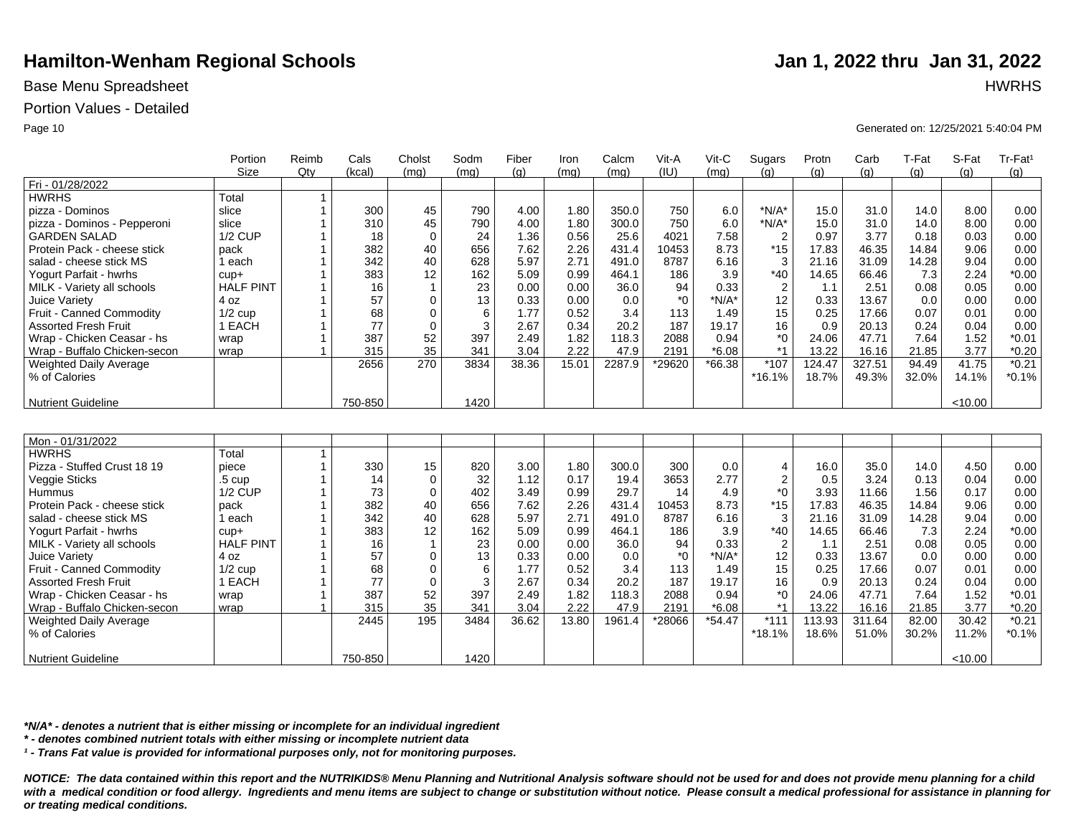## Base Menu Spreadsheet **HWRHS**

### Portion Values - Detailed

|                              | Portion           | Reimb          | Cals    | Cholst         | Sodm | Fiber | Iron  | Calcm  | Vit-A   | Vit-C    | Sugars           | Protn  | Carb   | T-Fat | S-Fat   | Tr-Fat <sup>1</sup> |
|------------------------------|-------------------|----------------|---------|----------------|------|-------|-------|--------|---------|----------|------------------|--------|--------|-------|---------|---------------------|
|                              | <b>Size</b>       | Qty            | (kcal)  | (mq)           | (mq) | (q)   | (mq)  | (mq)   | (IU)    | (mq)     | (q)              | (q)    | (q)    | (a)   | (q)     | (q)                 |
| Fri - 01/28/2022             |                   |                |         |                |      |       |       |        |         |          |                  |        |        |       |         |                     |
| <b>HWRHS</b>                 | Total             | $\mathbf{1}$   |         |                |      |       |       |        |         |          |                  |        |        |       |         |                     |
| pizza - Dominos              | slice             | $\mathbf{1}$   | 300     | 45             | 790  | 4.00  | 1.80  | 350.0  | 750     | 6.0      | $*N/A*$          | 15.0   | 31.0   | 14.0  | 8.00    | 0.00                |
| pizza - Dominos - Pepperoni  | slice             |                | 310     | 45             | 790  | 4.00  | 1.80  | 300.0  | 750     | 6.0      | $*N/A*$          | 15.0   | 31.0   | 14.0  | 8.00    | 0.00                |
| <b>GARDEN SALAD</b>          | <b>1/2 CUP</b>    |                | 18      | $\mathbf 0$    | 24   | 1.36  | 0.56  | 25.6   | 4021    | 7.58     | $\overline{2}$   | 0.97   | 3.77   | 0.18  | 0.03    | 0.00                |
| Protein Pack - cheese stick  | pack              |                | 382     | 40             | 656  | 7.62  | 2.26  | 431.4  | 10453   | 8.73     | $*15$            | 17.83  | 46.35  | 14.84 | 9.06    | 0.00                |
| salad - cheese stick MS      | 1 each            |                | 342     | 40             | 628  | 5.97  | 2.71  | 491.0  | 8787    | 6.16     | 3                | 21.16  | 31.09  | 14.28 | 9.04    | 0.00                |
| Yogurt Parfait - hwrhs       | $cup +$           | $\mathbf 1$    | 383     | 12             | 162  | 5.09  | 0.99  | 464.1  | 186     | 3.9      | $*40$            | 14.65  | 66.46  | 7.3   | 2.24    | $*0.00$             |
| MILK - Variety all schools   | <b>HALF PINT</b>  | $\mathbf 1$    | 16      | $\overline{1}$ | 23   | 0.00  | 0.00  | 36.0   | 94      | 0.33     | $\overline{2}$   | 1.1    | 2.51   | 0.08  | 0.05    | 0.00                |
| Juice Variety                | 4 oz              | $\mathbf{1}$   | 57      | $\mathbf 0$    | 13   | 0.33  | 0.00  | 0.0    | $*_{0}$ | $*N/A*$  | 12               | 0.33   | 13.67  | 0.0   | 0.00    | 0.00                |
| Fruit - Canned Commodity     | $1/2$ cup         | $\mathbf{1}$   | 68      | $\Omega$       | 6    | 1.77  | 0.52  | 3.4    | 113     | 1.49     | 15               | 0.25   | 17.66  | 0.07  | 0.01    | 0.00                |
| <b>Assorted Fresh Fruit</b>  | 1 EACH            | $\mathbf 1$    | 77      | $\mathbf 0$    | 3    | 2.67  | 0.34  | 20.2   | 187     | 19.17    | 16               | 0.9    | 20.13  | 0.24  | 0.04    | 0.00                |
| Wrap - Chicken Ceasar - hs   | wrap              | $\mathbf{1}$   | 387     | 52             | 397  | 2.49  | 1.82  | 118.3  | 2088    | 0.94     | $^*$ 0           | 24.06  | 47.71  | 7.64  | 1.52    | $*0.01$             |
| Wrap - Buffalo Chicken-secon | wrap              | $\overline{1}$ | 315     | 35             | 341  | 3.04  | 2.22  | 47.9   | 2191    | $*6.08$  | $*1$             | 13.22  | 16.16  | 21.85 | 3.77    | $*0.20$             |
| Weighted Daily Average       |                   |                | 2656    | 270            | 3834 | 38.36 | 15.01 | 2287.9 | *29620  | $*66.38$ | $*107$           | 124.47 | 327.51 | 94.49 | 41.75   | $*0.21$             |
| % of Calories                |                   |                |         |                |      |       |       |        |         |          | $*16.1%$         | 18.7%  | 49.3%  | 32.0% | 14.1%   | $*0.1%$             |
|                              |                   |                |         |                |      |       |       |        |         |          |                  |        |        |       |         |                     |
| <b>Nutrient Guideline</b>    |                   |                | 750-850 |                | 1420 |       |       |        |         |          |                  |        |        |       | < 10.00 |                     |
|                              |                   |                |         |                |      |       |       |        |         |          |                  |        |        |       |         |                     |
|                              |                   |                |         |                |      |       |       |        |         |          |                  |        |        |       |         |                     |
| Mon - 01/31/2022             |                   |                |         |                |      |       |       |        |         |          |                  |        |        |       |         |                     |
| <b>HWRHS</b>                 | Total             | $\mathbf{1}$   |         |                |      |       |       |        |         |          |                  |        |        |       |         |                     |
| Pizza - Stuffed Crust 18 19  | piece             | $\mathbf{1}$   | 330     | 15             | 820  | 3.00  | 1.80  | 300.0  | 300     | 0.0      | 4                | 16.0   | 35.0   | 14.0  | 4.50    | 0.00                |
| Veggie Sticks                | .5 <sub>cup</sub> | $\mathbf 1$    | 14      | $\mathbf 0$    | 32   | 1.12  | 0.17  | 19.4   | 3653    | 2.77     | $\boldsymbol{2}$ | 0.5    | 3.24   | 0.13  | 0.04    | 0.00                |
| Hummus                       | $1/2$ CUP         | $\mathbf 1$    | 73      | $\mathbf 0$    | 402  | 3.49  | 0.99  | 29.7   | 14      | 4.9      | $^*0$            | 3.93   | 11.66  | 1.56  | 0.17    | 0.00                |
| Protein Pack - cheese stick  | pack              | $\overline{1}$ | 382     | 40             | 656  | 7.62  | 2.26  | 431.4  | 10453   | 8.73     | $*15$            | 17.83  | 46.35  | 14.84 | 9.06    | 0.00                |
| salad - cheese stick MS      | 1 each            |                | 342     | 40             | 628  | 5.97  | 2.71  | 491.0  | 8787    | 6.16     | 3                | 21.16  | 31.09  | 14.28 | 9.04    | 0.00                |
| Yogurt Parfait - hwrhs       | $cup +$           | $\overline{1}$ | 383     | 12             | 162  | 5.09  | 0.99  | 464.1  | 186     | 3.9      | $*40$            | 14.65  | 66.46  | 7.3   | 2.24    | $*0.00$             |
| MILK - Variety all schools   | <b>HALF PINT</b>  | $\mathbf{1}$   | 16      | $\mathbf{1}$   | 23   | 0.00  | 0.00  | 36.0   | 94      | 0.33     | $\boldsymbol{2}$ | 1.1    | 2.51   | 0.08  | 0.05    | 0.00                |
| Juice Variety                | 4 oz              | $\mathbf{1}$   | 57      | $\mathbf 0$    | 13   | 0.33  | 0.00  | 0.0    | $*_{0}$ | $*N/A*$  | 12               | 0.33   | 13.67  | 0.0   | 0.00    | 0.00                |
| Fruit - Canned Commodity     | $1/2$ cup         | 1              | 68      | $\mathbf 0$    | 6    | 1.77  | 0.52  | 3.4    | 113     | 1.49     | 15               | 0.25   | 17.66  | 0.07  | 0.01    | 0.00                |
| <b>Assorted Fresh Fruit</b>  | 1 EACH            | 1              | 77      | $\mathbf 0$    | 3    | 2.67  | 0.34  | 20.2   | 187     | 19.17    | 16               | 0.9    | 20.13  | 0.24  | 0.04    | 0.00                |
| Wrap - Chicken Ceasar - hs   | wrap              | $\mathbf{1}$   | 387     | 52             | 397  | 2.49  | 1.82  | 118.3  | 2088    | 0.94     | $^*0$            | 24.06  | 47.71  | 7.64  | 1.52    | $*0.01$             |
| Wrap - Buffalo Chicken-secon | wrap              | $\overline{1}$ | 315     | 35             | 341  | 3.04  | 2.22  | 47.9   | 2191    | $*6.08$  | $*1$             | 13.22  | 16.16  | 21.85 | 3.77    | $*0.20$             |
| Weighted Daily Average       |                   |                | 2445    | 195            | 3484 | 36.62 | 13.80 | 1961.4 | *28066  | $*54.47$ | $*111$           | 113.93 | 311.64 | 82.00 | 30.42   | $*0.21$             |
| % of Calories                |                   |                |         |                |      |       |       |        |         |          | $*18.1%$         | 18.6%  | 51.0%  | 30.2% | 11.2%   | $*0.1%$             |
|                              |                   |                |         |                |      |       |       |        |         |          |                  |        |        |       |         |                     |
| <b>Nutrient Guideline</b>    |                   |                | 750-850 |                | 1420 |       |       |        |         |          |                  |        |        |       | < 10.00 |                     |

*\*N/A\* - denotes a nutrient that is either missing or incomplete for an individual ingredient*

*\* - denotes combined nutrient totals with either missing or incomplete nutrient data*

*¹ - Trans Fat value is provided for informational purposes only, not for monitoring purposes.*

*NOTICE: The data contained within this report and the NUTRIKIDS® Menu Planning and Nutritional Analysis software should not be used for and does not provide menu planning for a child*  with a medical condition or food allergy. Ingredients and menu items are subject to change or substitution without notice. Please consult a medical professional for assistance in planning for *or treating medical conditions.*

Page 10 Generated on: 12/25/2021 5:40:04 PM